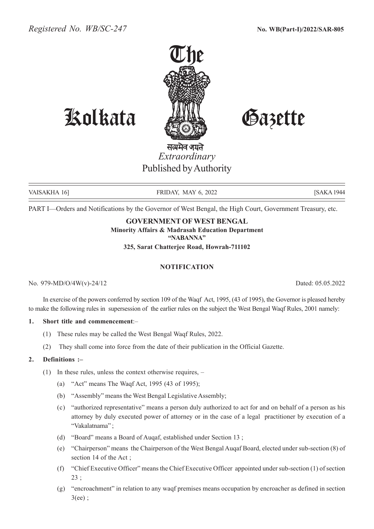

# Kolkata Gazette

सत्यमेव जयते *Extraordinary* Published by Authority

VAISAKHA 16] FRIDAY, MAY 6, 2022 [SAKA 1944

PART I—Orders and Notifications by the Governor of West Bengal, the High Court, Government Treasury, etc.

# **GOVERNMENT OF WEST BENGAL**

**Minority Affairs & Madrasah Education Department "NABANNA"**

**325, Sarat Chatterjee Road, Howrah-711102**

#### **NOTIFICATION**

No. 979-MD/O/4W(v)-24/12 Dated: 05.05.2022

In exercise of the powers conferred by section 109 of the Waqf Act, 1995, (43 of 1995), the Governor is pleased hereby to make the following rules in supersession of the earlier rules on the subject the West Bengal Waqf Rules, 2001 namely:

#### **1. Short title and commencement**:–

- (1) These rules may be called the West Bengal Waqf Rules, 2022.
- (2) They shall come into force from the date of their publication in the Official Gazette.

# **2. Definitions :–**

- (1) In these rules, unless the context otherwise requires,
	- (a) "Act" means The Waqf Act, 1995 (43 of 1995);
	- (b) "Assembly" means the West Bengal Legislative Assembly;
	- (c) "authorized representative" means a person duly authorized to act for and on behalf of a person as his attorney by duly executed power of attorney or in the case of a legal practitioner by execution of a "Vakalatnama" ;
	- (d) "Board" means a Board of Auqaf, established under Section 13 ;
	- (e) "Chairperson" means the Chairperson of the West Bengal Auqaf Board, elected under sub-section (8) of section 14 of the Act ;
	- (f) "Chief Executive Officer" means the Chief Executive Officer appointed under sub-section (1) of section 23 ;
	- (g) "encroachment" in relation to any waqf premises means occupation by encroacher as defined in section  $3(ee)$ ;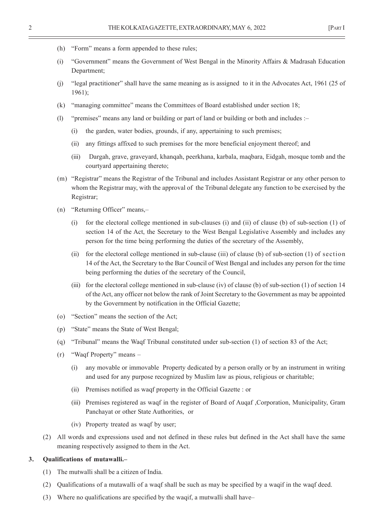- (h) "Form" means a form appended to these rules;
- (i) "Government" means the Government of West Bengal in the Minority Affairs & Madrasah Education Department;
- (j) "legal practitioner" shall have the same meaning as is assigned to it in the Advocates Act, 1961 (25 of 1961);
- (k) "managing committee" means the Committees of Board established under section 18;
- (l) "premises" means any land or building or part of land or building or both and includes :–
	- (i) the garden, water bodies, grounds, if any, appertaining to such premises;
	- (ii) any fittings affixed to such premises for the more beneficial enjoyment thereof; and
	- (iii) Dargah, grave, graveyard, khanqah, peerkhana, karbala, maqbara, Eidgah, mosque tomb and the courtyard appertaining thereto;
- (m) "Registrar" means the Registrar of the Tribunal and includes Assistant Registrar or any other person to whom the Registrar may, with the approval of the Tribunal delegate any function to be exercised by the Registrar;
- (n) "Returning Officer" means,–
	- (i) for the electoral college mentioned in sub-clauses (i) and (ii) of clause (b) of sub-section (1) of section 14 of the Act, the Secretary to the West Bengal Legislative Assembly and includes any person for the time being performing the duties of the secretary of the Assembly,
	- (ii) for the electoral college mentioned in sub-clause (iii) of clause (b) of sub-section (1) of section 14 of the Act, the Secretary to the Bar Council of West Bengal and includes any person for the time being performing the duties of the secretary of the Council,
	- (iii) for the electoral college mentioned in sub-clause (iv) of clause (b) of sub-section (1) of section 14 of the Act, any officer not below the rank of Joint Secretary to the Government as may be appointed by the Government by notification in the Official Gazette;
- (o) "Section" means the section of the Act;
- (p) "State" means the State of West Bengal;
- (q) "Tribunal" means the Waqf Tribunal constituted under sub-section (1) of section 83 of the Act;
- (r) "Waqf Property" means
	- (i) any movable or immovable Property dedicated by a person orally or by an instrument in writing and used for any purpose recognized by Muslim law as pious, religious or charitable;
	- (ii) Premises notified as waqf property in the Official Gazette : or
	- (iii) Premises registered as waqf in the register of Board of Auqaf ,Corporation, Municipality, Gram Panchayat or other State Authorities, or
	- (iv) Property treated as waqf by user;
- (2) All words and expressions used and not defined in these rules but defined in the Act shall have the same meaning respectively assigned to them in the Act.

#### **3. Qualifications of mutawalli.–**

- (1) The mutwalli shall be a citizen of India.
- (2) Qualifications of a mutawalli of a waqf shall be such as may be specified by a waqif in the waqf deed.
- (3) Where no qualifications are specified by the waqif, a mutwalli shall have–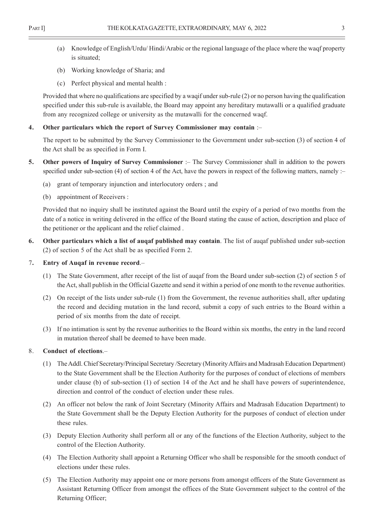- (a) Knowledge of English/Urdu/ Hindi/Arabic or the regional language of the place where the waqf property is situated;
- (b) Working knowledge of Sharia; and
- (c) Perfect physical and mental health :

Provided that where no qualifications are specified by a waqif under sub-rule (2) or no person having the qualification specified under this sub-rule is available, the Board may appoint any hereditary mutawalli or a qualified graduate from any recognized college or university as the mutawalli for the concerned waqf.

#### **4. Other particulars which the report of Survey Commissioner may contain** :–

The report to be submitted by the Survey Commissioner to the Government under sub-section (3) of section 4 of the Act shall be as specified in Form I.

- **5. Other powers of Inquiry of Survey Commissioner** :– The Survey Commissioner shall in addition to the powers specified under sub-section (4) of section 4 of the Act, have the powers in respect of the following matters, namely :-
	- (a) grant of temporary injunction and interlocutory orders ; and
	- (b) appointment of Receivers :

Provided that no inquiry shall be instituted against the Board until the expiry of a period of two months from the date of a notice in writing delivered in the office of the Board stating the cause of action, description and place of the petitioner or the applicant and the relief claimed .

**6. Other particulars which a list of auqaf published may contain**. The list of auqaf published under sub-section (2) of section 5 of the Act shall be as specified Form 2.

#### 7**. Entry of Auqaf in revenue record**.–

- (1) The State Government, after receipt of the list of auqaf from the Board under sub-section (2) of section 5 of the Act, shall publish in the Official Gazette and send it within a period of one month to the revenue authorities.
- (2) On receipt of the lists under sub-rule (1) from the Government, the revenue authorities shall, after updating the record and deciding mutation in the land record, submit a copy of such entries to the Board within a period of six months from the date of receipt.
- (3) If no intimation is sent by the revenue authorities to the Board within six months, the entry in the land record in mutation thereof shall be deemed to have been made.

#### 8. **Conduct of elections**.–

- (1) The Addl. Chief Secretary/Principal Secretary /Secretary (Minority Affairs and Madrasah Education Department) to the State Government shall be the Election Authority for the purposes of conduct of elections of members under clause (b) of sub-section (1) of section 14 of the Act and he shall have powers of superintendence, direction and control of the conduct of election under these rules.
- (2) An officer not below the rank of Joint Secretary (Minority Affairs and Madrasah Education Department) to the State Government shall be the Deputy Election Authority for the purposes of conduct of election under these rules.
- (3) Deputy Election Authority shall perform all or any of the functions of the Election Authority, subject to the control of the Election Authority.
- (4) The Election Authority shall appoint a Returning Officer who shall be responsible for the smooth conduct of elections under these rules.
- (5) The Election Authority may appoint one or more persons from amongst officers of the State Government as Assistant Returning Officer from amongst the offices of the State Government subject to the control of the Returning Officer;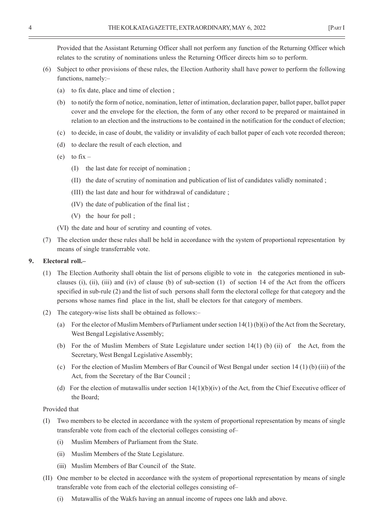Provided that the Assistant Returning Officer shall not perform any function of the Returning Officer which relates to the scrutiny of nominations unless the Returning Officer directs him so to perform.

- (6) Subject to other provisions of these rules, the Election Authority shall have power to perform the following functions, namely:–
	- (a) to fix date, place and time of election ;
	- (b) to notify the form of notice, nomination, letter of intimation, declaration paper, ballot paper, ballot paper cover and the envelope for the election, the form of any other record to be prepared or maintained in relation to an election and the instructions to be contained in the notification for the conduct of election;
	- (c) to decide, in case of doubt, the validity or invalidity of each ballot paper of each vote recorded thereon;
	- (d) to declare the result of each election, and
	- (e) to  $fix -$ 
		- (I) the last date for receipt of nomination ;
		- (II) the date of scrutiny of nomination and publication of list of candidates validly nominated ;
		- (III) the last date and hour for withdrawal of candidature ;
		- (IV) the date of publication of the final list ;
		- (V) the hour for poll ;
	- (VI) the date and hour of scrutiny and counting of votes.
- (7) The election under these rules shall be held in accordance with the system of proportional representation by means of single transferrable vote.

#### **9. Electoral roll.–**

- (1) The Election Authority shall obtain the list of persons eligible to vote in the categories mentioned in subclauses (i), (ii), (iii) and (iv) of clause (b) of sub-section (1) of section 14 of the Act from the officers specified in sub-rule (2) and the list of such persons shall form the electoral college for that category and the persons whose names find place in the list, shall be electors for that category of members.
- (2) The category-wise lists shall be obtained as follows:–
	- (a) For the elector of Muslim Members of Parliament under section 14(1) (b)(i) of the Act from the Secretary, West Bengal Legislative Assembly;
	- (b) For the of Muslim Members of State Legislature under section 14(1) (b) (ii) of the Act, from the Secretary, West Bengal Legislative Assembly;
	- (c) For the election of Muslim Members of Bar Council of West Bengal under section 14 (1) (b) (iii) of the Act, from the Secretary of the Bar Council ;
	- (d) For the election of mutawallis under section 14(1)(b)(iv) of the Act, from the Chief Executive officer of the Board;

#### Provided that

- (I) Two members to be elected in accordance with the system of proportional representation by means of single transferable vote from each of the electorial colleges consisting of–
	- (i) Muslim Members of Parliament from the State.
	- (ii) Muslim Members of the State Legislature.
	- (iii) Muslim Members of Bar Council of the State.
- (II) One member to be elected in accordance with the system of proportional representation by means of single transferable vote from each of the electorial colleges consisting of–
	- (i) Mutawallis of the Wakfs having an annual income of rupees one lakh and above.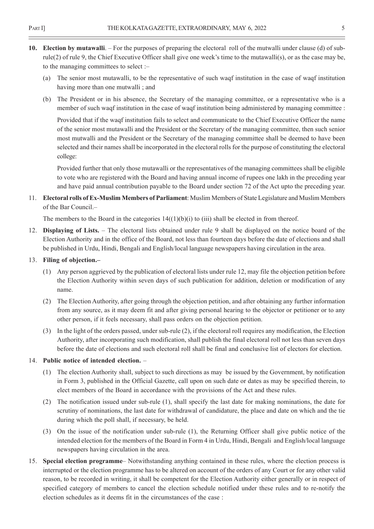- **10. Election by mutawalli**. For the purposes of preparing the electoral roll of the mutwalli under clause (d) of subrule(2) of rule 9, the Chief Executive Officer shall give one week's time to the mutawalli(s), or as the case may be, to the managing committees to select :–
	- (a) The senior most mutawalli, to be the representative of such waqf institution in the case of waqf institution having more than one mutwalli ; and
	- (b) The President or in his absence, the Secretary of the managing committee, or a representative who is a member of such waqf institution in the case of waqf institution being administered by managing committee :

Provided that if the waqf institution fails to select and communicate to the Chief Executive Officer the name of the senior most mutawalli and the President or the Secretary of the managing committee, then such senior most mutwalli and the President or the Secretary of the managing committee shall be deemed to have been selected and their names shall be incorporated in the electoral rolls for the purpose of constituting the electoral college:

Provided further that only those mutawalli or the representatives of the managing committees shall be eligible to vote who are registered with the Board and having annual income of rupees one lakh in the preceding year and have paid annual contribution payable to the Board under section 72 of the Act upto the preceding year.

11. **Electoral rolls of Ex-Muslim Members of Parliament**: Muslim Members of State Legislature and Muslim Members of the Bar Council.–

The members to the Board in the categories  $14((1)(b)(i))$  to (iii) shall be elected in from thereof.

12. **Displaying of Lists.** – The electoral lists obtained under rule 9 shall be displayed on the notice board of the Election Authority and in the office of the Board, not less than fourteen days before the date of elections and shall be published in Urdu, Hindi, Bengali and English/local language newspapers having circulation in the area.

### 13. **Filing of objection.–**

- (1) Any person aggrieved by the publication of electoral lists under rule 12, may file the objection petition before the Election Authority within seven days of such publication for addition, deletion or modification of any name.
- (2) The Election Authority, after going through the objection petition, and after obtaining any further information from any source, as it may deem fit and after giving personal hearing to the objector or petitioner or to any other person, if it feels necessary, shall pass orders on the objection petition.
- (3) In the light of the orders passed, under sub-rule (2), if the electoral roll requires any modification, the Election Authority, after incorporating such modification, shall publish the final electoral roll not less than seven days before the date of elections and such electoral roll shall be final and conclusive list of electors for election.

#### 14. **Public notice of intended election.** –

- (1) The election Authority shall, subject to such directions as may be issued by the Government, by notification in Form 3, published in the Official Gazette, call upon on such date or dates as may be specified therein, to elect members of the Board in accordance with the provisions of the Act and these rules.
- (2) The notification issued under sub-rule (1), shall specify the last date for making nominations, the date for scrutiny of nominations, the last date for withdrawal of candidature, the place and date on which and the tie during which the poll shall, if necessary, be held.
- (3) On the issue of the notification under sub-rule (1), the Returning Officer shall give public notice of the intended election for the members of the Board in Form 4 in Urdu, Hindi, Bengali and English/local language newspapers having circulation in the area.
- 15. **Special election programme** Notwithstanding anything contained in these rules, where the election process is interrupted or the election programme has to be altered on account of the orders of any Court or for any other valid reason, to be recorded in writing, it shall be competent for the Election Authority either generally or in respect of specified category of members to cancel the election schedule notified under these rules and to re-notify the election schedules as it deems fit in the circumstances of the case :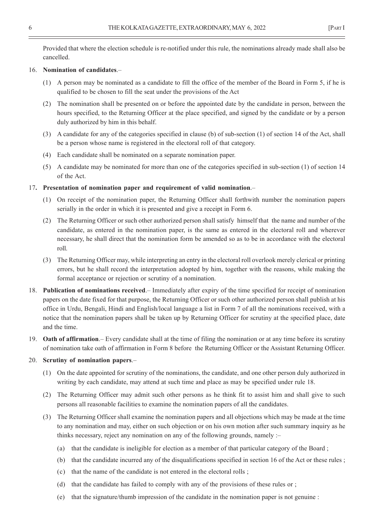Provided that where the election schedule is re-notified under this rule, the nominations already made shall also be cancelled.

#### 16. **Nomination of candidates**.–

- (1) A person may be nominated as a candidate to fill the office of the member of the Board in Form 5, if he is qualified to be chosen to fill the seat under the provisions of the Act
- (2) The nomination shall be presented on or before the appointed date by the candidate in person, between the hours specified, to the Returning Officer at the place specified, and signed by the candidate or by a person duly authorized by him in this behalf.
- (3) A candidate for any of the categories specified in clause (b) of sub-section (1) of section 14 of the Act, shall be a person whose name is registered in the electoral roll of that category.
- (4) Each candidate shall be nominated on a separate nomination paper.
- (5) A candidate may be nominated for more than one of the categories specified in sub-section (1) of section 14 of the Act.

#### 17**. Presentation of nomination paper and requirement of valid nomination**.–

- (1) On receipt of the nomination paper, the Returning Officer shall forthwith number the nomination papers serially in the order in which it is presented and give a receipt in Form 6.
- (2) The Returning Officer or such other authorized person shall satisfy himself that the name and number of the candidate, as entered in the nomination paper, is the same as entered in the electoral roll and wherever necessary, he shall direct that the nomination form be amended so as to be in accordance with the electoral roll.
- (3) The Returning Officer may, while interpreting an entry in the electoral roll overlook merely clerical or printing errors, but he shall record the interpretation adopted by him, together with the reasons, while making the formal acceptance or rejection or scrutiny of a nomination.
- 18. **Publication of nominations received**.– Immediately after expiry of the time specified for receipt of nomination papers on the date fixed for that purpose, the Returning Officer or such other authorized person shall publish at his office in Urdu, Bengali, Hindi and English/local language a list in Form 7 of all the nominations received, with a notice that the nomination papers shall be taken up by Returning Officer for scrutiny at the specified place, date and the time.
- 19. **Oath of affirmation**.– Every candidate shall at the time of filing the nomination or at any time before its scrutiny of nomination take oath of affirmation in Form 8 before the Returning Officer or the Assistant Returning Officer.

#### 20. **Scrutiny of nomination papers**.–

- (1) On the date appointed for scrutiny of the nominations, the candidate, and one other person duly authorized in writing by each candidate, may attend at such time and place as may be specified under rule 18.
- (2) The Returning Officer may admit such other persons as he think fit to assist him and shall give to such persons all reasonable facilities to examine the nomination papers of all the candidates.
- (3) The Returning Officer shall examine the nomination papers and all objections which may be made at the time to any nomination and may, either on such objection or on his own motion after such summary inquiry as he thinks necessary, reject any nomination on any of the following grounds, namely :–
	- (a) that the candidate is ineligible for election as a member of that particular category of the Board ;
	- (b) that the candidate incurred any of the disqualifications specified in section 16 of the Act or these rules ;
	- (c) that the name of the candidate is not entered in the electoral rolls ;
	- (d) that the candidate has failed to comply with any of the provisions of these rules or ;
	- (e) that the signature/thumb impression of the candidate in the nomination paper is not genuine :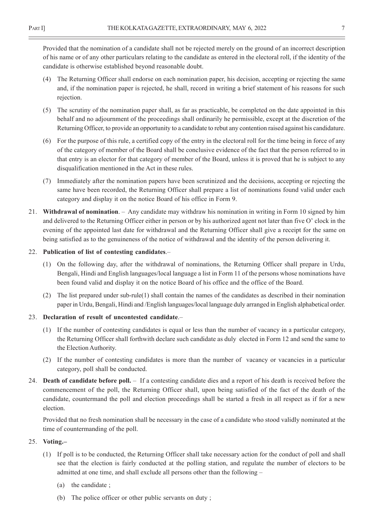Provided that the nomination of a candidate shall not be rejected merely on the ground of an incorrect description of his name or of any other particulars relating to the candidate as entered in the electoral roll, if the identity of the candidate is otherwise established beyond reasonable doubt.

- (4) The Returning Officer shall endorse on each nomination paper, his decision, accepting or rejecting the same and, if the nomination paper is rejected, he shall, record in writing a brief statement of his reasons for such rejection.
- (5) The scrutiny of the nomination paper shall, as far as practicable, be completed on the date appointed in this behalf and no adjournment of the proceedings shall ordinarily he permissible, except at the discretion of the Returning Officer, to provide an opportunity to a candidate to rebut any contention raised against his candidature.
- (6) For the purpose of this rule, a certified copy of the entry in the electoral roll for the time being in force of any of the category of member of the Board shall be conclusive evidence of the fact that the person referred to in that entry is an elector for that category of member of the Board, unless it is proved that he is subject to any disqualification mentioned in the Act in these rules.
- (7) Immediately after the nomination papers have been scrutinized and the decisions, accepting or rejecting the same have been recorded, the Returning Officer shall prepare a list of nominations found valid under each category and display it on the notice Board of his office in Form 9.
- 21. **Withdrawal of nomination**. Any candidate may withdraw his nomination in writing in Form 10 signed by him and delivered to the Returning Officer either in person or by his authorized agent not later than five O' clock in the evening of the appointed last date for withdrawal and the Returning Officer shall give a receipt for the same on being satisfied as to the genuineness of the notice of withdrawal and the identity of the person delivering it.
- 22. **Publication of list of contesting candidates**.–
	- (1) On the following day, after the withdrawal of nominations, the Returning Officer shall prepare in Urdu, Bengali, Hindi and English languages/local language a list in Form 11 of the persons whose nominations have been found valid and display it on the notice Board of his office and the office of the Board.
	- (2) The list prepared under sub-rule(1) shall contain the names of the candidates as described in their nomination paper in Urdu, Bengali, Hindi and /English languages/local language duly arranged in English alphabetical order.
- 23. **Declaration of result of uncontested candidate**.–
	- (1) If the number of contesting candidates is equal or less than the number of vacancy in a particular category, the Returning Officer shall forthwith declare such candidate as duly elected in Form 12 and send the same to the Election Authority.
	- (2) If the number of contesting candidates is more than the number of vacancy or vacancies in a particular category, poll shall be conducted.
- 24. **Death of candidate before poll.** If a contesting candidate dies and a report of his death is received before the commencement of the poll, the Returning Officer shall, upon being satisfied of the fact of the death of the candidate, countermand the poll and election proceedings shall be started a fresh in all respect as if for a new election.

Provided that no fresh nomination shall be necessary in the case of a candidate who stood validly nominated at the time of countermanding of the poll.

#### 25. **Voting.–**

- (1) If poll is to be conducted, the Returning Officer shall take necessary action for the conduct of poll and shall see that the election is fairly conducted at the polling station, and regulate the number of electors to be admitted at one time, and shall exclude all persons other than the following –
	- (a) the candidate ;
	- (b) The police officer or other public servants on duty ;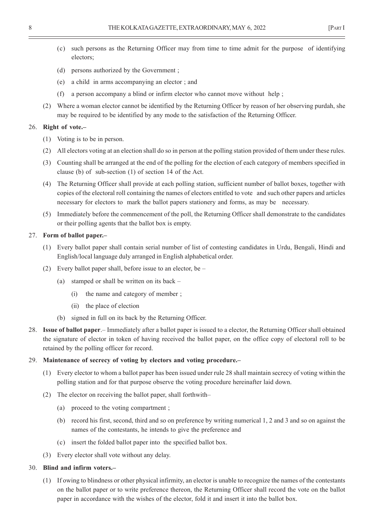- (c) such persons as the Returning Officer may from time to time admit for the purpose of identifying electors;
- (d) persons authorized by the Government ;
- (e) a child in arms accompanying an elector ; and
- (f) a person accompany a blind or infirm elector who cannot move without help ;
- (2) Where a woman elector cannot be identified by the Returning Officer by reason of her observing purdah, she may be required to be identified by any mode to the satisfaction of the Returning Officer.

#### 26. **Right of vote.–**

- (1) Voting is to be in person.
- (2) All electors voting at an election shall do so in person at the polling station provided of them under these rules.
- (3) Counting shall be arranged at the end of the polling for the election of each category of members specified in clause (b) of sub-section (1) of section 14 of the Act.
- (4) The Returning Officer shall provide at each polling station, sufficient number of ballot boxes, together with copies of the electoral roll containing the names of electors entitled to vote and such other papers and articles necessary for electors to mark the ballot papers stationery and forms, as may be necessary.
- (5) Immediately before the commencement of the poll, the Returning Officer shall demonstrate to the candidates or their polling agents that the ballot box is empty.

#### 27. **Form of ballot paper.–**

- (1) Every ballot paper shall contain serial number of list of contesting candidates in Urdu, Bengali, Hindi and English/local language duly arranged in English alphabetical order.
- (2) Every ballot paper shall, before issue to an elector, be
	- (a) stamped or shall be written on its back
		- (i) the name and category of member ;
		- (ii) the place of election
	- (b) signed in full on its back by the Returning Officer.
- 28. **Issue of ballot paper**.– Immediately after a ballot paper is issued to a elector, the Returning Officer shall obtained the signature of elector in token of having received the ballot paper, on the office copy of electoral roll to be retained by the polling officer for record.

#### 29. **Maintenance of secrecy of voting by electors and voting procedure.–**

- (1) Every elector to whom a ballot paper has been issued under rule 28 shall maintain secrecy of voting within the polling station and for that purpose observe the voting procedure hereinafter laid down.
- (2) The elector on receiving the ballot paper, shall forthwith–
	- (a) proceed to the voting compartment ;
	- (b) record his first, second, third and so on preference by writing numerical 1, 2 and 3 and so on against the names of the contestants, he intends to give the preference and
	- (c) insert the folded ballot paper into the specified ballot box.
- (3) Every elector shall vote without any delay.

#### 30. **Blind and infirm voters.–**

(1) If owing to blindness or other physical infirmity, an elector is unable to recognize the names of the contestants on the ballot paper or to write preference thereon, the Returning Officer shall record the vote on the ballot paper in accordance with the wishes of the elector, fold it and insert it into the ballot box.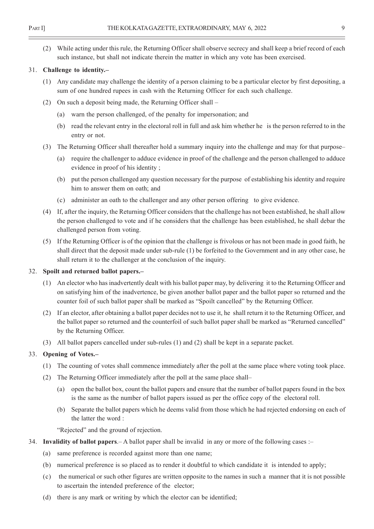(2) While acting under this rule, the Returning Officer shall observe secrecy and shall keep a brief record of each such instance, but shall not indicate therein the matter in which any vote has been exercised.

#### 31. **Challenge to identity.–**

- (1) Any candidate may challenge the identity of a person claiming to be a particular elector by first depositing, a sum of one hundred rupees in cash with the Returning Officer for each such challenge.
- (2) On such a deposit being made, the Returning Officer shall
	- (a) warn the person challenged, of the penalty for impersonation; and
	- (b) read the relevant entry in the electoral roll in full and ask him whether he is the person referred to in the entry or not.
- (3) The Returning Officer shall thereafter hold a summary inquiry into the challenge and may for that purpose–
	- (a) require the challenger to adduce evidence in proof of the challenge and the person challenged to adduce evidence in proof of his identity ;
	- (b) put the person challenged any question necessary for the purpose of establishing his identity and require him to answer them on oath; and
	- (c) administer an oath to the challenger and any other person offering to give evidence.
- (4) If, after the inquiry, the Returning Officer considers that the challenge has not been established, he shall allow the person challenged to vote and if he considers that the challenge has been established, he shall debar the challenged person from voting.
- (5) If the Returning Officer is of the opinion that the challenge is frivolous or has not been made in good faith, he shall direct that the deposit made under sub-rule (1) be forfeited to the Government and in any other case, he shall return it to the challenger at the conclusion of the inquiry.

#### 32. **Spoilt and returned ballot papers.–**

- (1) An elector who has inadvertently dealt with his ballot paper may, by delivering it to the Returning Officer and on satisfying him of the inadvertence, be given another ballot paper and the ballot paper so returned and the counter foil of such ballot paper shall be marked as "Spoilt cancelled" by the Returning Officer.
- (2) If an elector, after obtaining a ballot paper decides not to use it, he shall return it to the Returning Officer, and the ballot paper so returned and the counterfoil of such ballot paper shall be marked as "Returned cancelled" by the Returning Officer.
- (3) All ballot papers cancelled under sub-rules (1) and (2) shall be kept in a separate packet.

#### 33. **Opening of Votes.–**

- (1) The counting of votes shall commence immediately after the poll at the same place where voting took place.
- (2) The Returning Officer immediately after the poll at the same place shall–
	- (a) open the ballot box, count the ballot papers and ensure that the number of ballot papers found in the box is the same as the number of ballot papers issued as per the office copy of the electoral roll.
	- (b) Separate the ballot papers which he deems valid from those which he had rejected endorsing on each of the latter the word :

"Rejected" and the ground of rejection.

- 34. **Invalidity of ballot papers**.– A ballot paper shall be invalid in any or more of the following cases :–
	- (a) same preference is recorded against more than one name;
	- (b) numerical preference is so placed as to render it doubtful to which candidate it is intended to apply;
	- (c) the numerical or such other figures are written opposite to the names in such a manner that it is not possible to ascertain the intended preference of the elector;
	- (d) there is any mark or writing by which the elector can be identified;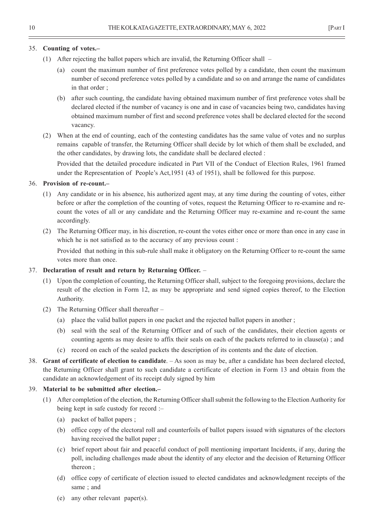#### 35. **Counting of votes.–**

- (1) After rejecting the ballot papers which are invalid, the Returning Officer shall
	- (a) count the maximum number of first preference votes polled by a candidate, then count the maximum number of second preference votes polled by a candidate and so on and arrange the name of candidates in that order ;
	- (b) after such counting, the candidate having obtained maximum number of first preference votes shall be declared elected if the number of vacancy is one and in case of vacancies being two, candidates having obtained maximum number of first and second preference votes shall be declared elected for the second vacancy.
- (2) When at the end of counting, each of the contesting candidates has the same value of votes and no surplus remains capable of transfer, the Returning Officer shall decide by lot which of them shall be excluded, and the other candidates, by drawing lots, the candidate shall be declared elected :

Provided that the detailed procedure indicated in Part VII of the Conduct of Election Rules, 1961 framed under the Representation of People's Act,1951 (43 of 1951), shall be followed for this purpose.

#### 36. **Provision of re-count.–**

- (1) Any candidate or in his absence, his authorized agent may, at any time during the counting of votes, either before or after the completion of the counting of votes, request the Returning Officer to re-examine and recount the votes of all or any candidate and the Returning Officer may re-examine and re-count the same accordingly.
- (2) The Returning Officer may, in his discretion, re-count the votes either once or more than once in any case in which he is not satisfied as to the accuracy of any previous count :

Provided that nothing in this sub-rule shall make it obligatory on the Returning Officer to re-count the same votes more than once.

#### 37. **Declaration of result and return by Returning Officer.** –

- (1) Upon the completion of counting, the Returning Officer shall, subject to the foregoing provisions, declare the result of the election in Form 12, as may be appropriate and send signed copies thereof, to the Election Authority.
- (2) The Returning Officer shall thereafter
	- (a) place the valid ballot papers in one packet and the rejected ballot papers in another ;
	- (b) seal with the seal of the Returning Officer and of such of the candidates, their election agents or counting agents as may desire to affix their seals on each of the packets referred to in clause(a) ; and
	- (c) record on each of the sealed packets the description of its contents and the date of election.
- 38. **Grant of certificate of election to candidate**. As soon as may be, after a candidate has been declared elected, the Returning Officer shall grant to such candidate a certificate of election in Form 13 and obtain from the candidate an acknowledgement of its receipt duly signed by him

#### 39. **Material to be submitted after election.–**

- (1) After completion of the election, the Returning Officer shall submit the following to the Election Authority for being kept in safe custody for record :–
	- (a) packet of ballot papers ;
	- (b) office copy of the electoral roll and counterfoils of ballot papers issued with signatures of the electors having received the ballot paper ;
	- (c) brief report about fair and peaceful conduct of poll mentioning important Incidents, if any, during the poll, including challenges made about the identity of any elector and the decision of Returning Officer thereon ;
	- (d) office copy of certificate of election issued to elected candidates and acknowledgment receipts of the same ; and
	- (e) any other relevant paper(s).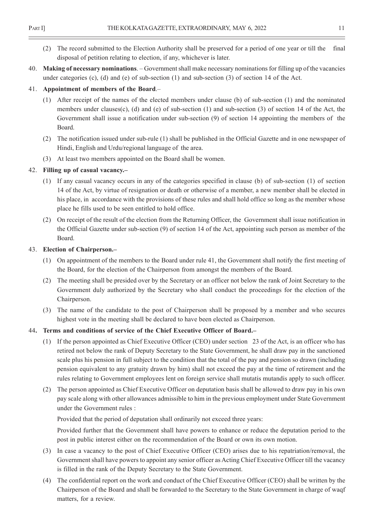- (2) The record submitted to the Election Authority shall be preserved for a period of one year or till the final disposal of petition relating to election, if any, whichever is later.
- 40. **Making of necessary nominations**. Government shall make necessary nominations for filling up of the vacancies under categories (c), (d) and (e) of sub-section (1) and sub-section (3) of section 14 of the Act.

#### 41. **Appointment of members of the Board**.–

- (1) After receipt of the names of the elected members under clause (b) of sub-section (1) and the nominated members under clauses(c), (d) and (e) of sub-section (1) and sub-section (3) of section 14 of the Act, the Government shall issue a notification under sub-section (9) of section 14 appointing the members of the Board.
- (2) The notification issued under sub-rule (1) shall be published in the Official Gazette and in one newspaper of Hindi, English and Urdu/regional language of the area.
- (3) At least two members appointed on the Board shall be women.

### 42. **Filling up of casual vacancy.–**

- (1) If any casual vacancy occurs in any of the categories specified in clause (b) of sub-section (1) of section 14 of the Act, by virtue of resignation or death or otherwise of a member, a new member shall be elected in his place, in accordance with the provisions of these rules and shall hold office so long as the member whose place he fills used to be seen entitled to hold office.
- (2) On receipt of the result of the election from the Returning Officer, the Government shall issue notification in the Official Gazette under sub-section (9) of section 14 of the Act, appointing such person as member of the Board.

#### 43. **Election of Chairperson.–**

- (1) On appointment of the members to the Board under rule 41, the Government shall notify the first meeting of the Board, for the election of the Chairperson from amongst the members of the Board.
- (2) The meeting shall be presided over by the Secretary or an officer not below the rank of Joint Secretary to the Government duly authorized by the Secretary who shall conduct the proceedings for the election of the Chairperson.
- (3) The name of the candidate to the post of Chairperson shall be proposed by a member and who secures highest vote in the meeting shall be declared to have been elected as Chairperson.

#### 44**. Terms and conditions of service of the Chief Executive Officer of Board.–**

- (1) If the person appointed as Chief Executive Officer (CEO) under section 23 of the Act, is an officer who has retired not below the rank of Deputy Secretary to the State Government, he shall draw pay in the sanctioned scale plus his pension in full subject to the condition that the total of the pay and pension so drawn (including pension equivalent to any gratuity drawn by him) shall not exceed the pay at the time of retirement and the rules relating to Government employees lent on foreign service shall mutatis mutandis apply to such officer.
- (2) The person appointed as Chief Executive Officer on deputation basis shall be allowed to draw pay in his own pay scale along with other allowances admissible to him in the previous employment under State Government under the Government rules :

Provided that the period of deputation shall ordinarily not exceed three years:

Provided further that the Government shall have powers to enhance or reduce the deputation period to the post in public interest either on the recommendation of the Board or own its own motion.

- (3) In case a vacancy to the post of Chief Executive Officer (CEO) arises due to his repatriation/removal, the Government shall have powers to appoint any senior officer as Acting Chief Executive Officer till the vacancy is filled in the rank of the Deputy Secretary to the State Government.
- (4) The confidential report on the work and conduct of the Chief Executive Officer (CEO) shall be written by the Chairperson of the Board and shall be forwarded to the Secretary to the State Government in charge of waqf matters, for a review.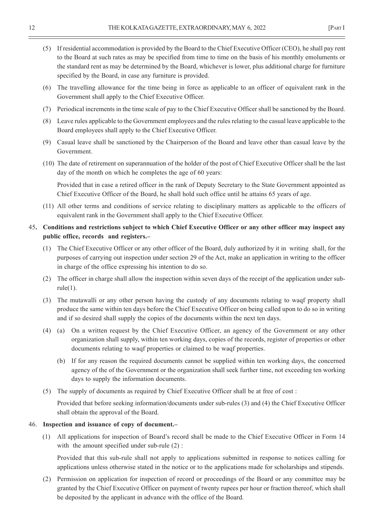- (5) If residential accommodation is provided by the Board to the Chief Executive Officer (CEO), he shall pay rent to the Board at such rates as may be specified from time to time on the basis of his monthly emoluments or the standard rent as may be determined by the Board, whichever is lower, plus additional charge for furniture specified by the Board, in case any furniture is provided.
- (6) The travelling allowance for the time being in force as applicable to an officer of equivalent rank in the Government shall apply to the Chief Executive Officer.
- (7) Periodical increments in the time scale of pay to the Chief Executive Officer shall be sanctioned by the Board.
- (8) Leave rules applicable to the Government employees and the rules relating to the casual leave applicable to the Board employees shall apply to the Chief Executive Officer.
- (9) Casual leave shall be sanctioned by the Chairperson of the Board and leave other than casual leave by the Government.
- (10) The date of retirement on superannuation of the holder of the post of Chief Executive Officer shall be the last day of the month on which he completes the age of 60 years:

Provided that in case a retired officer in the rank of Deputy Secretary to the State Government appointed as Chief Executive Officer of the Board, he shall hold such office until he attains 65 years of age.

(11) All other terms and conditions of service relating to disciplinary matters as applicable to the officers of equivalent rank in the Government shall apply to the Chief Executive Officer.

#### 45**. Conditions and restrictions subject to which Chief Executive Officer or any other officer may inspect any public office, records and registers.–**

- (1) The Chief Executive Officer or any other officer of the Board, duly authorized by it in writing shall, for the purposes of carrying out inspection under section 29 of the Act, make an application in writing to the officer in charge of the office expressing his intention to do so.
- (2) The officer in charge shall allow the inspection within seven days of the receipt of the application under subrule $(1)$ .
- (3) The mutawalli or any other person having the custody of any documents relating to waqf property shall produce the same within ten days before the Chief Executive Officer on being called upon to do so in writing and if so desired shall supply the copies of the documents within the next ten days.
- (4) (a) On a written request by the Chief Executive Officer, an agency of the Government or any other organization shall supply, within ten working days, copies of the records, register of properties or other documents relating to waqf properties or claimed to be waqf properties.
	- (b) If for any reason the required documents cannot be supplied within ten working days, the concerned agency of the of the Government or the organization shall seek further time, not exceeding ten working days to supply the information documents.
- (5) The supply of documents as required by Chief Executive Officer shall be at free of cost :

Provided that before seeking information/documents under sub-rules (3) and (4) the Chief Executive Officer shall obtain the approval of the Board.

#### 46. **Inspection and issuance of copy of document.–**

 (1) All applications for inspection of Board's record shall be made to the Chief Executive Officer in Form 14 with the amount specified under sub-rule  $(2)$ :

Provided that this sub-rule shall not apply to applications submitted in response to notices calling for applications unless otherwise stated in the notice or to the applications made for scholarships and stipends.

(2) Permission on application for inspection of record or proceedings of the Board or any committee may be granted by the Chief Executive Officer on payment of twenty rupees per hour or fraction thereof, which shall be deposited by the applicant in advance with the office of the Board.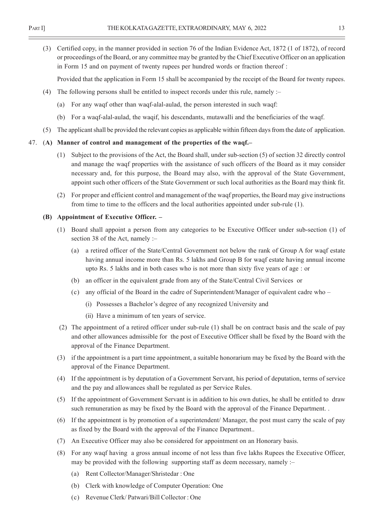(3) Certified copy, in the manner provided in section 76 of the Indian Evidence Act, 1872 (1 of 1872), of record or proceedings of the Board, or any committee may be granted by the Chief Executive Officer on an application in Form 15 and on payment of twenty rupees per hundred words or fraction thereof :

Provided that the application in Form 15 shall be accompanied by the receipt of the Board for twenty rupees.

- (4) The following persons shall be entitled to inspect records under this rule, namely :–
	- (a) For any waqf other than waqf-alal-aulad, the person interested in such waqf:
	- (b) For a waqf-alal-aulad, the waqif, his descendants, mutawalli and the beneficiaries of the waqf.
- (5) The applicant shall be provided the relevant copies as applicable within fifteen days from the date of application.

#### 47. (**A) Manner of control and management of the properties of the waqf.–**

- (1) Subject to the provisions of the Act, the Board shall, under sub-section (5) of section 32 directly control and manage the waqf properties with the assistance of such officers of the Board as it may consider necessary and, for this purpose, the Board may also, with the approval of the State Government, appoint such other officers of the State Government or such local authorities as the Board may think fit.
- (2) For proper and efficient control and management of the waqf properties, the Board may give instructions from time to time to the officers and the local authorities appointed under sub-rule (1).

#### **(B) Appointment of Executive Officer. –**

- (1) Board shall appoint a person from any categories to be Executive Officer under sub-section (1) of section 38 of the Act, namely :–
	- (a) a retired officer of the State/Central Government not below the rank of Group A for waqf estate having annual income more than Rs. 5 lakhs and Group B for waqf estate having annual income upto Rs. 5 lakhs and in both cases who is not more than sixty five years of age : or
	- (b) an officer in the equivalent grade from any of the State/Central Civil Services or
	- (c) any official of the Board in the cadre of Superintendent/Manager of equivalent cadre who
		- (i) Possesses a Bachelor's degree of any recognized University and
		- (ii) Have a minimum of ten years of service.
- (2) The appointment of a retired officer under sub-rule (1) shall be on contract basis and the scale of pay and other allowances admissible for the post of Executive Officer shall be fixed by the Board with the approval of the Finance Department.
- (3) if the appointment is a part time appointment, a suitable honorarium may be fixed by the Board with the approval of the Finance Department.
- (4) If the appointment is by deputation of a Government Servant, his period of deputation, terms of service and the pay and allowances shall be regulated as per Service Rules.
- (5) If the appointment of Government Servant is in addition to his own duties, he shall be entitled to draw such remuneration as may be fixed by the Board with the approval of the Finance Department. .
- (6) If the appointment is by promotion of a superintendent/ Manager, the post must carry the scale of pay as fixed by the Board with the approval of the Finance Department..
- (7) An Executive Officer may also be considered for appointment on an Honorary basis.
- (8) For any waqf having a gross annual income of not less than five lakhs Rupees the Executive Officer, may be provided with the following supporting staff as deem necessary, namely :–
	- (a) Rent Collector/Manager/Shristedar : One
	- (b) Clerk with knowledge of Computer Operation: One
	- (c) Revenue Clerk/ Patwari/Bill Collector : One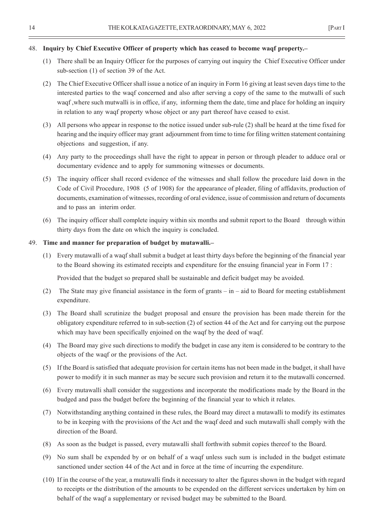#### 48. **Inquiry by Chief Executive Officer of property which has ceased to become waqf property.–**

- (1) There shall be an Inquiry Officer for the purposes of carrying out inquiry the Chief Executive Officer under sub-section (1) of section 39 of the Act.
- (2) The Chief Executive Officer shall issue a notice of an inquiry in Form 16 giving at least seven days time to the interested parties to the waqf concerned and also after serving a copy of the same to the mutwalli of such waqf ,where such mutwalli is in office, if any, informing them the date, time and place for holding an inquiry in relation to any waqf property whose object or any part thereof have ceased to exist.
- (3) All persons who appear in response to the notice issued under sub-rule (2) shall be heard at the time fixed for hearing and the inquiry officer may grant adjournment from time to time for filing written statement containing objections and suggestion, if any.
- (4) Any party to the proceedings shall have the right to appear in person or through pleader to adduce oral or documentary evidence and to apply for summoning witnesses or documents.
- (5) The inquiry officer shall record evidence of the witnesses and shall follow the procedure laid down in the Code of Civil Procedure, 1908 (5 of 1908) for the appearance of pleader, filing of affidavits, production of documents, examination of witnesses, recording of oral evidence, issue of commission and return of documents and to pass an interim order.
- (6) The inquiry officer shall complete inquiry within six months and submit report to the Board through within thirty days from the date on which the inquiry is concluded.

#### 49. **Time and manner for preparation of budget by mutawalli.–**

(1) Every mutawalli of a waqf shall submit a budget at least thirty days before the beginning of the financial year to the Board showing its estimated receipts and expenditure for the ensuing financial year in Form 17 :

Provided that the budget so prepared shall be sustainable and deficit budget may be avoided.

- (2) The State may give financial assistance in the form of grants in aid to Board for meeting establishment expenditure.
- (3) The Board shall scrutinize the budget proposal and ensure the provision has been made therein for the obligatory expenditure referred to in sub-section (2) of section 44 of the Act and for carrying out the purpose which may have been specifically enjoined on the waqf by the deed of waqf.
- (4) The Board may give such directions to modify the budget in case any item is considered to be contrary to the objects of the waqf or the provisions of the Act.
- (5) If the Board is satisfied that adequate provision for certain items has not been made in the budget, it shall have power to modify it in such manner as may be secure such provision and return it to the mutawalli concerned.
- (6) Every mutawalli shall consider the suggestions and incorporate the modifications made by the Board in the budged and pass the budget before the beginning of the financial year to which it relates.
- (7) Notwithstanding anything contained in these rules, the Board may direct a mutawalli to modify its estimates to be in keeping with the provisions of the Act and the waqf deed and such mutawalli shall comply with the direction of the Board.
- (8) As soon as the budget is passed, every mutawalli shall forthwith submit copies thereof to the Board.
- (9) No sum shall be expended by or on behalf of a waqf unless such sum is included in the budget estimate sanctioned under section 44 of the Act and in force at the time of incurring the expenditure.
- (10) If in the course of the year, a mutawalli finds it necessary to alter the figures shown in the budget with regard to receipts or the distribution of the amounts to be expended on the different services undertaken by him on behalf of the waqf a supplementary or revised budget may be submitted to the Board.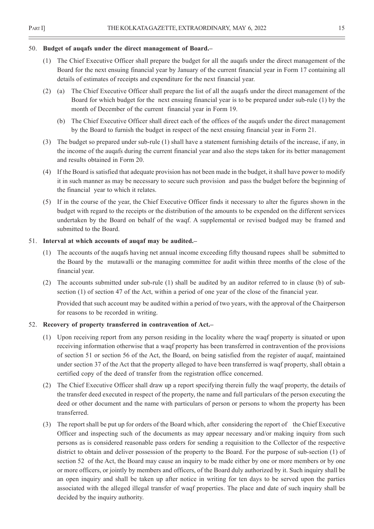#### 50. **Budget of auqafs under the direct management of Board.–**

- (1) The Chief Executive Officer shall prepare the budget for all the auqafs under the direct management of the Board for the next ensuing financial year by January of the current financial year in Form 17 containing all details of estimates of receipts and expenditure for the next financial year.
- (2) (a) The Chief Executive Officer shall prepare the list of all the auqafs under the direct management of the Board for which budget for the next ensuing financial year is to be prepared under sub-rule (1) by the month of December of the current financial year in Form 19.
	- (b) The Chief Executive Officer shall direct each of the offices of the auqafs under the direct management by the Board to furnish the budget in respect of the next ensuing financial year in Form 21.
- (3) The budget so prepared under sub-rule (1) shall have a statement furnishing details of the increase, if any, in the income of the auqafs during the current financial year and also the steps taken for its better management and results obtained in Form 20.
- (4) If the Board is satisfied that adequate provision has not been made in the budget, it shall have power to modify it in such manner as may be necessary to secure such provision and pass the budget before the beginning of the financial year to which it relates.
- (5) If in the course of the year, the Chief Executive Officer finds it necessary to alter the figures shown in the budget with regard to the receipts or the distribution of the amounts to be expended on the different services undertaken by the Board on behalf of the waqf. A supplemental or revised budged may be framed and submitted to the Board.

#### 51. **Interval at which accounts of auqaf may be audited.–**

- (1) The accounts of the auqafs having net annual income exceeding fifty thousand rupees shall be submitted to the Board by the mutawalli or the managing committee for audit within three months of the close of the financial year.
- (2) The accounts submitted under sub-rule (1) shall be audited by an auditor referred to in clause (b) of subsection (1) of section 47 of the Act, within a period of one year of the close of the financial year.

Provided that such account may be audited within a period of two years, with the approval of the Chairperson for reasons to be recorded in writing.

#### 52. **Recovery of property transferred in contravention of Act.–**

- (1) Upon receiving report from any person residing in the locality where the waqf property is situated or upon receiving information otherwise that a waqf property has been transferred in contravention of the provisions of section 51 or section 56 of the Act, the Board, on being satisfied from the register of auqaf, maintained under section 37 of the Act that the property alleged to have been transferred is waqf property, shall obtain a certified copy of the deed of transfer from the registration office concerned.
- (2) The Chief Executive Officer shall draw up a report specifying therein fully the waqf property, the details of the transfer deed executed in respect of the property, the name and full particulars of the person executing the deed or other document and the name with particulars of person or persons to whom the property has been transferred.
- (3) The report shall be put up for orders of the Board which, after considering the report of the Chief Executive Officer and inspecting such of the documents as may appear necessary and/or making inquiry from such persons as is considered reasonable pass orders for sending a requisition to the Collector of the respective district to obtain and deliver possession of the property to the Board. For the purpose of sub-section (1) of section 52 of the Act, the Board may cause an inquiry to be made either by one or more members or by one or more officers, or jointly by members and officers, of the Board duly authorized by it. Such inquiry shall be an open inquiry and shall be taken up after notice in writing for ten days to be served upon the parties associated with the alleged illegal transfer of waqf properties. The place and date of such inquiry shall be decided by the inquiry authority.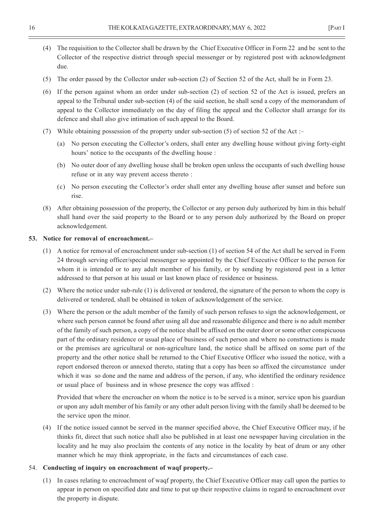- (4) The requisition to the Collector shall be drawn by the Chief Executive Officer in Form 22 and be sent to the Collector of the respective district through special messenger or by registered post with acknowledgment due.
- (5) The order passed by the Collector under sub-section (2) of Section 52 of the Act, shall be in Form 23.
- (6) If the person against whom an order under sub-section (2) of section 52 of the Act is issued, prefers an appeal to the Tribunal under sub-section (4) of the said section, he shall send a copy of the memorandum of appeal to the Collector immediately on the day of filing the appeal and the Collector shall arrange for its defence and shall also give intimation of such appeal to the Board.
- (7) While obtaining possession of the property under sub-section (5) of section 52 of the Act :–
	- (a) No person executing the Collector's orders, shall enter any dwelling house without giving forty-eight hours' notice to the occupants of the dwelling house :
	- (b) No outer door of any dwelling house shall be broken open unless the occupants of such dwelling house refuse or in any way prevent access thereto :
	- (c) No person executing the Collector's order shall enter any dwelling house after sunset and before sun rise.
- (8) After obtaining possession of the property, the Collector or any person duly authorized by him in this behalf shall hand over the said property to the Board or to any person duly authorized by the Board on proper acknowledgement.

#### **53. Notice for removal of encroachment.–**

- (1) A notice for removal of encroachment under sub-section (1) of section 54 of the Act shall be served in Form 24 through serving officer/special messenger so appointed by the Chief Executive Officer to the person for whom it is intended or to any adult member of his family, or by sending by registered post in a letter addressed to that person at his usual or last known place of residence or business.
- (2) Where the notice under sub-rule (1) is delivered or tendered, the signature of the person to whom the copy is delivered or tendered, shall be obtained in token of acknowledgement of the service.
- (3) Where the person or the adult member of the family of such person refuses to sign the acknowledgement, or where such person cannot be found after using all due and reasonable diligence and there is no adult member of the family of such person, a copy of the notice shall be affixed on the outer door or some other conspicuous part of the ordinary residence or usual place of business of such person and where no constructions is made or the premises are agricultural or non-agriculture land, the notice shall be affixed on some part of the property and the other notice shall be returned to the Chief Executive Officer who issued the notice, with a report endorsed thereon or annexed thereto, stating that a copy has been so affixed the circumstance under which it was so done and the name and address of the person, if any, who identified the ordinary residence or usual place of business and in whose presence the copy was affixed :

Provided that where the encroacher on whom the notice is to be served is a minor, service upon his guardian or upon any adult member of his family or any other adult person living with the family shall be deemed to be the service upon the minor.

(4) If the notice issued cannot be served in the manner specified above, the Chief Executive Officer may, if he thinks fit, direct that such notice shall also be published in at least one newspaper having circulation in the locality and he may also proclaim the contents of any notice in the locality by beat of drum or any other manner which he may think appropriate, in the facts and circumstances of each case.

#### 54. **Conducting of inquiry on encroachment of waqf property.–**

(1) In cases relating to encroachment of waqf property, the Chief Executive Officer may call upon the parties to appear in person on specified date and time to put up their respective claims in regard to encroachment over the property in dispute.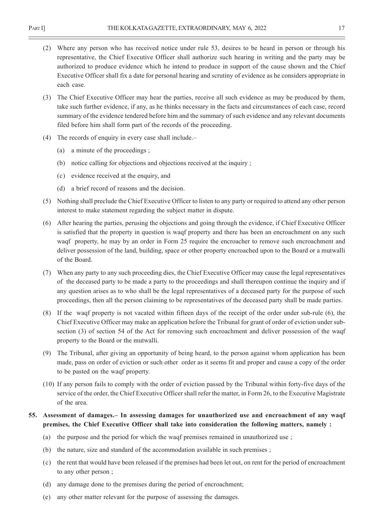- (2) Where any person who has received notice under rule 53, desires to be heard in person or through his representative, the Chief Executive Officer shall authorize such hearing in writing and the party may be authorized to produce evidence which he intend to produce in support of the cause shown and the Chief Executive Officer shall fix a date for personal hearing and scrutiny of evidence as he considers appropriate in each case.
- (3) The Chief Executive Officer may hear the parties, receive all such evidence as may be produced by them, take such further evidence, if any, as he thinks necessary in the facts and circumstances of each case, record summary of the evidence tendered before him and the summary of such evidence and any relevant documents filed before him shall form part of the records of the proceeding.
- (4) The records of enquiry in every case shall include.–
	- (a) a minute of the proceedings ;
	- (b) notice calling for objections and objections received at the inquiry ;
	- (c) evidence received at the enquiry, and
	- (d) a brief record of reasons and the decision.
- (5) Nothing shall preclude the Chief Executive Officer to listen to any party or required to attend any other person interest to make statement regarding the subject matter in dispute.
- (6) After hearing the parties, perusing the objections and going through the evidence, if Chief Executive Officer is satisfied that the property in question is waqf property and there has been an encroachment on any such waqf property, he may by an order in Form 25 require the encroacher to remove such encroachment and deliver possession of the land, building, space or other property encroached upon to the Board or a mutwalli of the Board.
- (7) When any party to any such proceeding dies, the Chief Executive Officer may cause the legal representatives of the deceased party to be made a party to the proceedings and shall thereupon continue the inquiry and if any question arises as to who shall be the legal representatives of a deceased party for the purpose of such proceedings, then all the person claiming to be representatives of the deceased party shall be made parties.
- (8) If the waqf property is not vacated within fifteen days of the receipt of the order under sub-rule (6), the Chief Executive Officer may make an application before the Tribunal for grant of order of eviction under subsection (3) of section 54 of the Act for removing such encroachment and deliver possession of the waqf property to the Board or the mutwalli.
- (9) The Tribunal, after giving an opportunity of being heard, to the person against whom application has been made, pass on order of eviction or such other order as it seems fit and proper and cause a copy of the order to be pasted on the waqf property.
- (10) If any person fails to comply with the order of eviction passed by the Tribunal within forty-five days of the service of the order, the Chief Executive Officer shall refer the matter, in Form 26, to the Executive Magistrate of the area.

### **55. Assessment of damages.– In assessing damages for unauthorized use and encroachment of any waqf premises, the Chief Executive Officer shall take into consideration the following matters, namely :**

- (a) the purpose and the period for which the waqf premises remained in unauthorized use ;
- (b) the nature, size and standard of the accommodation available in such premises ;
- (c) the rent that would have been released if the premises had been let out, on rent for the period of encroachment to any other person ;
- (d) any damage done to the premises during the period of encroachment;
- (e) any other matter relevant for the purpose of assessing the damages.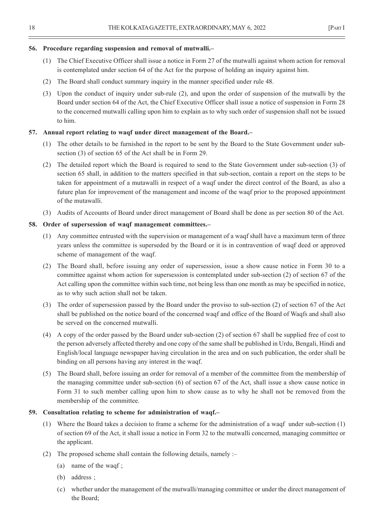#### **56. Procedure regarding suspension and removal of mutwalli.–**

- (1) The Chief Executive Officer shall issue a notice in Form 27 of the mutwalli against whom action for removal is contemplated under section 64 of the Act for the purpose of holding an inquiry against him.
- (2) The Board shall conduct summary inquiry in the manner specified under rule 48.
- (3) Upon the conduct of inquiry under sub-rule (2), and upon the order of suspension of the mutwalli by the Board under section 64 of the Act, the Chief Executive Officer shall issue a notice of suspension in Form 28 to the concerned mutwalli calling upon him to explain as to why such order of suspension shall not be issued to him.

#### **57. Annual report relating to waqf under direct management of the Board.–**

- (1) The other details to be furnished in the report to be sent by the Board to the State Government under subsection (3) of section 65 of the Act shall be in Form 29.
- (2) The detailed report which the Board is required to send to the State Government under sub-section (3) of section 65 shall, in addition to the matters specified in that sub-section, contain a report on the steps to be taken for appointment of a mutawalli in respect of a waqf under the direct control of the Board, as also a future plan for improvement of the management and income of the waqf prior to the proposed appointment of the mutawalli.
- (3) Audits of Accounts of Board under direct management of Board shall be done as per section 80 of the Act.

#### **58. Order of supersession of waqf management committees.–**

- (1) Any committee entrusted with the supervision or management of a waqf shall have a maximum term of three years unless the committee is superseded by the Board or it is in contravention of waqf deed or approved scheme of management of the waqf.
- (2) The Board shall, before issuing any order of supersession, issue a show cause notice in Form 30 to a committee against whom action for supersession is contemplated under sub-section (2) of section 67 of the Act calling upon the committee within such time, not being less than one month as may be specified in notice, as to why such action shall not be taken.
- (3) The order of supersession passed by the Board under the proviso to sub-section (2) of section 67 of the Act shall be published on the notice board of the concerned waqf and office of the Board of Waqfs and shall also be served on the concerned mutwalli.
- (4) A copy of the order passed by the Board under sub-section (2) of section 67 shall be supplied free of cost to the person adversely affected thereby and one copy of the same shall be published in Urdu, Bengali, Hindi and English/local language newspaper having circulation in the area and on such publication, the order shall be binding on all persons having any interest in the waqf.
- (5) The Board shall, before issuing an order for removal of a member of the committee from the membership of the managing committee under sub-section (6) of section 67 of the Act, shall issue a show cause notice in Form 31 to such member calling upon him to show cause as to why he shall not be removed from the membership of the committee.

#### **59. Consultation relating to scheme for administration of waqf.–**

- (1) Where the Board takes a decision to frame a scheme for the administration of a waqf under sub-section (1) of section 69 of the Act, it shall issue a notice in Form 32 to the mutwalli concerned, managing committee or the applicant.
- (2) The proposed scheme shall contain the following details, namely :–
	- (a) name of the waqf ;
	- (b) address ;
	- (c) whether under the management of the mutwalli/managing committee or under the direct management of the Board;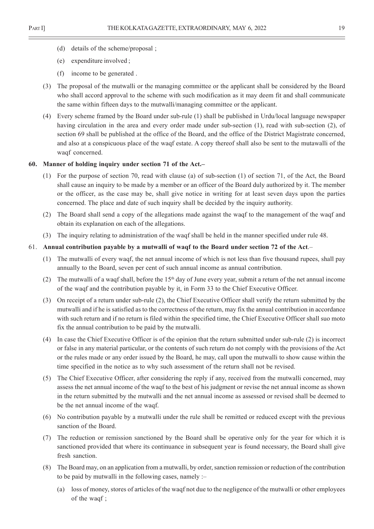- (d) details of the scheme/proposal ;
- (e) expenditure involved ;
- (f) income to be generated .
- (3) The proposal of the mutwalli or the managing committee or the applicant shall be considered by the Board who shall accord approval to the scheme with such modification as it may deem fit and shall communicate the same within fifteen days to the mutwalli/managing committee or the applicant.
- (4) Every scheme framed by the Board under sub-rule (1) shall be published in Urdu/local language newspaper having circulation in the area and every order made under sub-section (1), read with sub-section (2), of section 69 shall be published at the office of the Board, and the office of the District Magistrate concerned, and also at a conspicuous place of the waqf estate. A copy thereof shall also be sent to the mutawalli of the waqf concerned.

#### **60. Manner of holding inquiry under section 71 of the Act.–**

- (1) For the purpose of section 70, read with clause (a) of sub-section (1) of section 71, of the Act, the Board shall cause an inquiry to be made by a member or an officer of the Board duly authorized by it. The member or the officer, as the case may be, shall give notice in writing for at least seven days upon the parties concerned. The place and date of such inquiry shall be decided by the inquiry authority.
- (2) The Board shall send a copy of the allegations made against the waqf to the management of the waqf and obtain its explanation on each of the allegations.
- (3) The inquiry relating to administration of the waqf shall be held in the manner specified under rule 48.

#### 61. **Annual contribution payable by a mutwalli of waqf to the Board under section 72 of the Act**.–

- (1) The mutwalli of every waqf, the net annual income of which is not less than five thousand rupees, shall pay annually to the Board, seven per cent of such annual income as annual contribution.
- (2) The mutwalli of a waqf shall, before the  $15<sup>th</sup>$  day of June every year, submit a return of the net annual income of the waqf and the contribution payable by it, in Form 33 to the Chief Executive Officer.
- (3) On receipt of a return under sub-rule (2), the Chief Executive Officer shall verify the return submitted by the mutwalli and if he is satisfied as to the correctness of the return, may fix the annual contribution in accordance with such return and if no return is filed within the specified time, the Chief Executive Officer shall suo moto fix the annual contribution to be paid by the mutwalli.
- (4) In case the Chief Executive Officer is of the opinion that the return submitted under sub-rule (2) is incorrect or false in any material particular, or the contents of such return do not comply with the provisions of the Act or the rules made or any order issued by the Board, he may, call upon the mutwalli to show cause within the time specified in the notice as to why such assessment of the return shall not be revised.
- (5) The Chief Executive Officer, after considering the reply if any, received from the mutwalli concerned, may assess the net annual income of the waqf to the best of his judgment or revise the net annual income as shown in the return submitted by the mutwalli and the net annual income as assessed or revised shall be deemed to be the net annual income of the waqf.
- (6) No contribution payable by a mutwalli under the rule shall be remitted or reduced except with the previous sanction of the Board.
- (7) The reduction or remission sanctioned by the Board shall be operative only for the year for which it is sanctioned provided that where its continuance in subsequent year is found necessary, the Board shall give fresh sanction.
- (8) The Board may, on an application from a mutwalli, by order, sanction remission or reduction of the contribution to be paid by mutwalli in the following cases, namely :–
	- (a) loss of money, stores of articles of the waqf not due to the negligence of the mutwalli or other employees of the waqf ;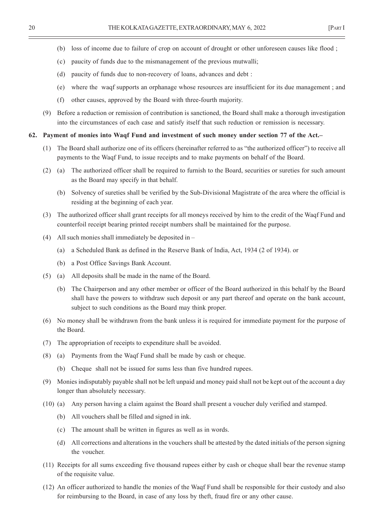- 
- (b) loss of income due to failure of crop on account of drought or other unforeseen causes like flood ;
- (c) paucity of funds due to the mismanagement of the previous mutwalli;
- (d) paucity of funds due to non-recovery of loans, advances and debt :
- (e) where the waqf supports an orphanage whose resources are insufficient for its due management ; and
- (f) other causes, approved by the Board with three-fourth majority.
- (9) Before a reduction or remission of contribution is sanctioned, the Board shall make a thorough investigation into the circumstances of each case and satisfy itself that such reduction or remission is necessary.

#### **62. Payment of monies into Waqf Fund and investment of such money under section 77 of the Act.–**

- (1) The Board shall authorize one of its officers (hereinafter referred to as "the authorized officer") to receive all payments to the Waqf Fund, to issue receipts and to make payments on behalf of the Board.
- (2) (a) The authorized officer shall be required to furnish to the Board, securities or sureties for such amount as the Board may specify in that behalf.
	- (b) Solvency of sureties shall be verified by the Sub-Divisional Magistrate of the area where the official is residing at the beginning of each year.
- (3) The authorized officer shall grant receipts for all moneys received by him to the credit of the Waqf Fund and counterfoil receipt bearing printed receipt numbers shall be maintained for the purpose.
- (4) All such monies shall immediately be deposited in
	- (a) a Scheduled Bank as defined in the Reserve Bank of India, Act, 1934 (2 of 1934). or
	- (b) a Post Office Savings Bank Account.
- (5) (a) All deposits shall be made in the name of the Board.
	- (b) The Chairperson and any other member or officer of the Board authorized in this behalf by the Board shall have the powers to withdraw such deposit or any part thereof and operate on the bank account, subject to such conditions as the Board may think proper.
- (6) No money shall be withdrawn from the bank unless it is required for immediate payment for the purpose of the Board.
- (7) The appropriation of receipts to expenditure shall be avoided.
- (8) (a) Payments from the Waqf Fund shall be made by cash or cheque.
	- (b) Cheque shall not be issued for sums less than five hundred rupees.
- (9) Monies indisputably payable shall not be left unpaid and money paid shall not be kept out of the account a day longer than absolutely necessary.
- (10) (a) Any person having a claim against the Board shall present a voucher duly verified and stamped.
	- (b) All vouchers shall be filled and signed in ink.
	- (c) The amount shall be written in figures as well as in words.
	- (d) All corrections and alterations in the vouchers shall be attested by the dated initials of the person signing the voucher.
- (11) Receipts for all sums exceeding five thousand rupees either by cash or cheque shall bear the revenue stamp of the requisite value.
- (12) An officer authorized to handle the monies of the Waqf Fund shall be responsible for their custody and also for reimbursing to the Board, in case of any loss by theft, fraud fire or any other cause.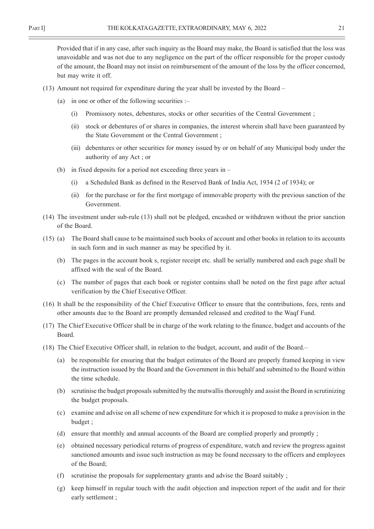Provided that if in any case, after such inquiry as the Board may make, the Board is satisfied that the loss was unavoidable and was not due to any negligence on the part of the officer responsible for the proper custody of the amount, the Board may not insist on reimbursement of the amount of the loss by the officer concerned, but may write it off.

- (13) Amount not required for expenditure during the year shall be invested by the Board
	- (a) in one or other of the following securities :–
		- (i) Promissory notes, debentures, stocks or other securities of the Central Government ;
		- (ii) stock or debentures of or shares in companies, the interest wherein shall have been guaranteed by the State Government or the Central Government ;
		- (iii) debentures or other securities for money issued by or on behalf of any Municipal body under the authority of any Act ; or
	- (b) in fixed deposits for a period not exceeding three years in
		- (i) a Scheduled Bank as defined in the Reserved Bank of India Act, 1934 (2 of 1934); or
		- (ii) for the purchase or for the first mortgage of immovable property with the previous sanction of the Government.
- (14) The investment under sub-rule (13) shall not be pledged, encashed or withdrawn without the prior sanction of the Board.
- (15) (a) The Board shall cause to be maintained such books of account and other books in relation to its accounts in such form and in such manner as may be specified by it.
	- (b) The pages in the account book s, register receipt etc. shall be serially numbered and each page shall be affixed with the seal of the Board.
	- (c) The number of pages that each book or register contains shall be noted on the first page after actual verification by the Chief Executive Officer.
- (16) It shall be the responsibility of the Chief Executive Officer to ensure that the contributions, fees, rents and other amounts due to the Board are promptly demanded released and credited to the Waqf Fund.
- (17) The Chief Executive Officer shall be in charge of the work relating to the finance, budget and accounts of the Board.
- (18) The Chief Executive Officer shall, in relation to the budget, account, and audit of the Board.–
	- (a) be responsible for ensuring that the budget estimates of the Board are properly framed keeping in view the instruction issued by the Board and the Government in this behalf and submitted to the Board within the time schedule.
	- (b) scrutinise the budget proposals submitted by the mutwallis thoroughly and assist the Board in scrutinizing the budget proposals.
	- (c) examine and advise on all scheme of new expenditure for which it is proposed to make a provision in the budget ;
	- (d) ensure that monthly and annual accounts of the Board are complied properly and promptly ;
	- (e) obtained necessary periodical returns of progress of expenditure, watch and review the progress against sanctioned amounts and issue such instruction as may be found necessary to the officers and employees of the Board;
	- (f) scrutinise the proposals for supplementary grants and advise the Board suitably ;
	- (g) keep himself in regular touch with the audit objection and inspection report of the audit and for their early settlement ;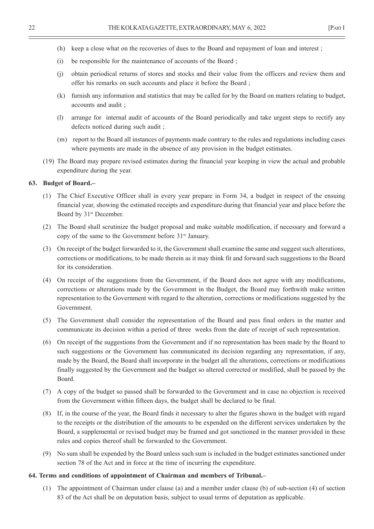- (h) keep a close what on the recoveries of dues to the Board and repayment of loan and interest ;
- (i) be responsible for the maintenance of accounts of the Board ;
- (j) obtain periodical returns of stores and stocks and their value from the officers and review them and offer his remarks on such accounts and place it before the Board ;
- (k) furnish any information and statistics that may be called for by the Board on matters relating to budget, accounts and audit ;
- (l) arrange for internal audit of accounts of the Board periodically and take urgent steps to rectify any defects noticed during such audit ;
- (m) report to the Board all instances of payments made contrary to the rules and regulations including cases where payments are made in the absence of any provision in the budget estimates.
- (19) The Board may prepare revised estimates during the financial year keeping in view the actual and probable expenditure during the year.

#### **63. Budget of Board.–**

- (1) The Chief Executive Officer shall in every year prepare in Form 34, a budget in respect of the ensuing financial year, showing the estimated receipts and expenditure during that financial year and place before the Board by 31<sup>st</sup> December.
- (2) The Board shall scrutinize the budget proposal and make suitable modification, if necessary and forward a copy of the same to the Government before 31<sup>st</sup> January.
- (3) On receipt of the budget forwarded to it, the Government shall examine the same and suggest such alterations, corrections or modifications, to be made therein as it may think fit and forward such suggestions to the Board for its consideration.
- (4) On receipt of the suggestions from the Government, if the Board does not agree with any modifications, corrections or alterations made by the Government in the Budget, the Board may forthwith make written representation to the Government with regard to the alteration, corrections or modifications suggested by the Government.
- (5) The Government shall consider the representation of the Board and pass final orders in the matter and communicate its decision within a period of three weeks from the date of receipt of such representation.
- (6) On receipt of the suggestions from the Government and if no representation has been made by the Board to such suggestions or the Government has communicated its decision regarding any representation, if any, made by the Board, the Board shall incorporate in the budget all the alterations, corrections or modifications finally suggested by the Government and the budget so altered corrected or modified, shall be passed by the Board.
- (7) A copy of the budget so passed shall be forwarded to the Government and in case no objection is received from the Government within fifteen days, the budget shall be declared to be final.
- (8) If, in the course of the year, the Board finds it necessary to alter the figures shown in the budget with regard to the receipts or the distribution of the amounts to be expended on the different services undertaken by the Board, a supplemental or revised budget may be framed and got sanctioned in the manner provided in these rules and copies thereof shall be forwarded to the Government.
- (9) No sum shall be expended by the Board unless such sum is included in the budget estimates sanctioned under section 78 of the Act and in force at the time of incurring the expenditure.

#### **64. Terms and conditions of appointment of Chairman and members of Tribunal.–**

(1) The appointment of Chairman under clause (a) and a member under clause (b) of sub-section (4) of section 83 of the Act shall be on deputation basis, subject to usual terms of deputation as applicable.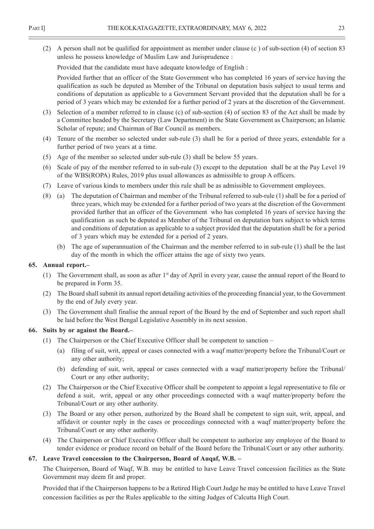(2) A person shall not be qualified for appointment as member under clause (c ) of sub-section (4) of section 83 unless he possess knowledge of Muslim Law and Jurisprudence :

Provided that the candidate must have adequate knowledge of English :

Provided further that an officer of the State Government who has completed 16 years of service having the qualification as such be deputed as Member of the Tribunal on deputation basis subject to usual terms and conditions of deputation as applicable to a Government Servant provided that the deputation shall be for a period of 3 years which may be extended for a further period of 2 years at the discretion of the Government.

- (3) Selection of a member referred to in clause (c) of sub-section (4) of section 83 of the Act shall be made by a Committee headed by the Secretary (Law Department) in the State Government as Chairperson; an Islamic Scholar of repute; and Chairman of Bar Council as members.
- (4) Tenure of the member so selected under sub-rule (3) shall be for a period of three years, extendable for a further period of two years at a time.
- (5) Age of the member so selected under sub-rule (3) shall be below 55 years.
- (6) Scale of pay of the member referred to in sub-rule (3) except to the deputation shall be at the Pay Level 19 of the WBS(ROPA) Rules, 2019 plus usual allowances as admissible to group A officers.
- (7) Leave of various kinds to members under this rule shall be as admissible to Government employees.
- (8) (a) The deputation of Chairman and member of the Tribunal referred to sub-rule (1) shall be for a period of three years, which may be extended for a further period of two years at the discretion of the Government provided further that an officer of the Government who has completed 16 years of service having the qualification as such be deputed as Member of the Tribunal on deputation bars subject to which terms and conditions of deputation as applicable to a subject provided that the deputation shall be for a period of 3 years which may be extended for a period of 2 years.
	- (b) The age of superannuation of the Chairman and the member referred to in sub-rule (1) shall be the last day of the month in which the officer attains the age of sixty two years.

#### **65. Annual report.–**

- (1) The Government shall, as soon as after 1st day of April in every year, cause the annual report of the Board to be prepared in Form 35.
- (2) The Board shall submit its annual report detailing activities of the proceeding financial year, to the Government by the end of July every year.
- (3) The Government shall finalise the annual report of the Board by the end of September and such report shall be laid before the West Bengal Legislative Assembly in its next session.

#### **66. Suits by or against the Board.–**

- (1) The Chairperson or the Chief Executive Officer shall be competent to sanction
	- (a) filing of suit, writ, appeal or cases connected with a waqf matter/property before the Tribunal/Court or any other authority;
	- (b) defending of suit, writ, appeal or cases connected with a waqf matter/property before the Tribunal/ Court or any other authority;
- (2) The Chairperson or the Chief Executive Officer shall be competent to appoint a legal representative to file or defend a suit, writ, appeal or any other proceedings connected with a waqf matter/property before the Tribunal/Court or any other authority.
- (3) The Board or any other person, authorized by the Board shall be competent to sign suit, writ, appeal, and affidavit or counter reply in the cases or proceedings connected with a waqf matter/property before the Tribunal/Court or any other authority.
- (4) The Chairperson or Chief Executive Officer shall be competent to authorize any employee of the Board to tender evidence or produce record on behalf of the Board before the Tribunal/Court or any other authority.

#### **67. Leave Travel concession to the Chairperson, Board of Auqaf, W.B. –**

The Chairperson, Board of Waqf, W.B. may be entitled to have Leave Travel concession facilities as the State Government may deem fit and proper.

Provided that if the Chairperson happens to be a Retired High Court Judge he may be entitled to have Leave Travel concession facilities as per the Rules applicable to the sitting Judges of Calcutta High Court.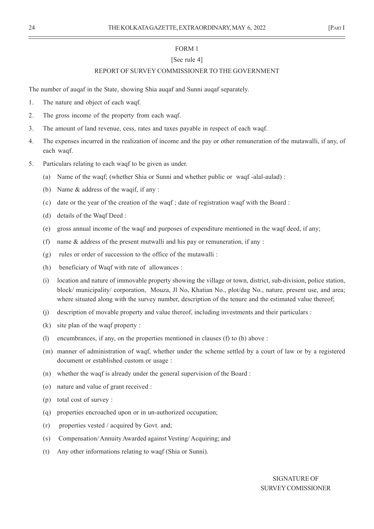#### [See rule 4]

#### REPORT OF SURVEY COMMISSIONER TO THE GOVERNMENT

The number of auqaf in the State, showing Shia auqaf and Sunni auqaf separately.

- 1. The nature and object of each waqf.
- 2. The gross income of the property from each waqf.
- 3. The amount of land revenue, cess, rates and taxes payable in respect of each waqf.
- 4. The expenses incurred in the realization of income and the pay or other remuneration of the mutawalli, if any, of each waqf.
- 5. Particulars relating to each waqf to be given as under.
	- (a) Name of the waqf; (whether Shia or Sunni and whether public or waqf -alal-aulad) :
	- (b) Name & address of the waqif, if any :
	- (c) date or the year of the creation of the waqf ; date of registration waqf with the Board :
	- (d) details of the Waqf Deed :
	- (e) gross annual income of the waqf and purposes of expenditure mentioned in the waqf deed, if any;
	- (f) name & address of the present mutwalli and his pay or remuneration, if any :
	- (g) rules or order of succession to the office of the mutawalli :
	- (h) beneficiary of Waqf with rate of allowances :
	- (i) location and nature of immovable property showing the village or town, district, sub-division, police station, block/ municipality/ corporation, Mouza, Jl No, Khatian No., plot/dag No., nature, present use, and area; where situated along with the survey number, description of the tenure and the estimated value thereof;
	- (j) description of movable property and value thereof, including investments and their particulars :
	- (k) site plan of the waqf property :
	- (l) encumbrances, if any, on the properties mentioned in clauses (f) to (h) above :
	- (m) manner of administration of waqf, whether under the scheme settled by a court of law or by a registered document or established custom or usage :
	- (n) whether the waqf is already under the general supervision of the Board :
	- (o) nature and value of grant received :
	- (p) total cost of survey :
	- (q) properties encroached upon or in un-authorized occupation;
	- (r) properties vested / acquired by Govt. and;
	- (s) Compensation/ Annuity Awarded against Vesting/ Acquiring; and
	- (t) Any other informations relating to waqf (Shia or Sunni).

SIGNATURE OF SURVEY COMISSIONER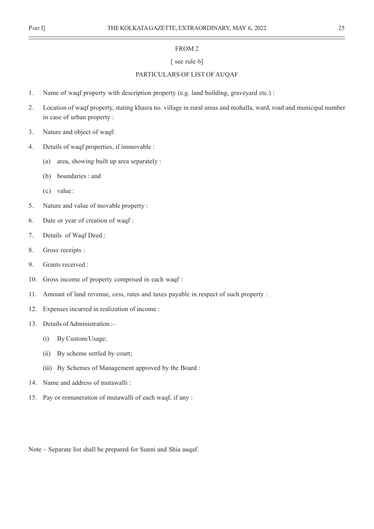#### FROM 2

#### [ see rule 6]

#### PARTICULARS OF LIST OF AUQAF

- 1. Name of waqf property with description property (e.g. land building, graveyard etc.) :
- 2. Location of waqf property, stating khasra no. village in rural areas and mohalla, ward, road and municipal number in case of urban property :
- 3. Nature and object of waqf:
- 4. Details of waqf properties, if immovable :
	- (a) area, showing built up area separately :
	- (b) boundaries : and
	- (c) value :
- 5. Nature and value of movable property :
- 6. Date or year of creation of waqf :
- 7. Details of Waqf Deed :
- 8. Gross receipts :
- 9. Grants received :
- 10. Gross income of property comprised in each waqf :
- 11. Amount of land revenue, cess, rates and taxes payable in respect of such property :
- 12. Expenses incurred in realization of income :
- 13. Details of Administration :–
	- (i) By Custom/Usage;
	- (ii) By scheme settled by court;
	- (iii) By Schemes of Management approved by the Board :
- 14. Name and address of mutawalli :
- 15. Pay or remuneration of mutawalli of each waqf, if any :

Note – Separate list shall be prepared for Sunni and Shia auqaf.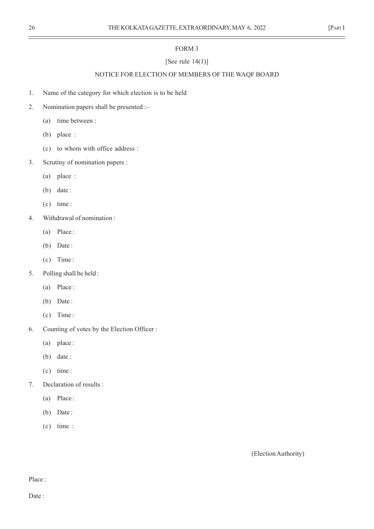# [See rule  $14(1)$ ]

# NOTICE FOR ELECTION OF MEMBERS OF THE WAQF BOARD

- 1. Name of the category for which election is to be held
- 2. Nomination papers shall be presented :–
	- (a) time between :
	- (b) place :
	- (c) to whom with office address :
- 3. Scrutiny of nomination papers :
	- (a) place :
	- (b) date:
	- (c) time :
- 4. Withdrawal of nomination :
	- (a) Place :
	- (b) Date:
	- (c) Time :
- 5. Polling shall be held :
	- (a) Place :
	- (b) Date:
	- (c) Time :
- 6. Counting of votes by the Election Officer :
	- (a) place :
	- (b) date :
	- (c) time :
- 7. Declaration of results :
	- (a) Place :
	- (b) Date:
	- (c) time :

(Election Authority)

Place :

Date: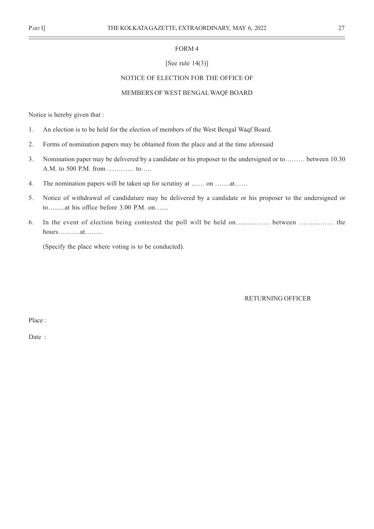#### [See rule 14(3)]

#### NOTICE OF ELECTION FOR THE OFFICE OF

#### MEMBERS OF WEST BENGAL WAQF BOARD

Notice is hereby given that :

- 1. An election is to be held for the election of members of the West Bengal Waqf Board.
- 2. Forms of nomination papers may be obtained from the place and at the time aforesaid
- 3. Nomination paper may be delivered by a candidate or his proposer to the undersigned or to……… between 10.30 A.M. to 500 P.M. from ………… to…..
- 4. The nomination papers will be taken up for scrutiny at …… on …….at……
- 5. Notice of withdrawal of candidature may be delivered by a candidate or his proposer to the undersigned or to…......at his office before 3.00 P.M. on…....
- 6. In the event of election being contested the poll will be held on….....…….. between ……....…… the hours……….at……..

(Specify the place where voting is to be conducted).

RETURNING OFFICER

Place :

Date :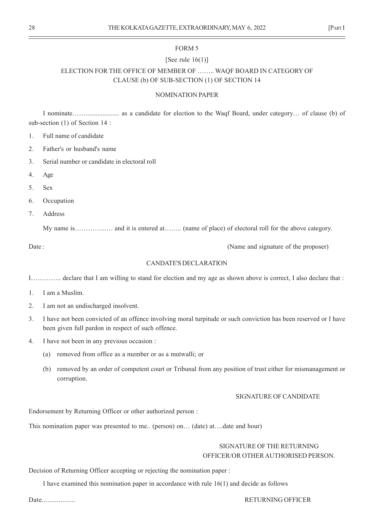#### [See rule  $16(1)$ ]

# ELECTION FOR THE OFFICE OF MEMBER OF …….. WAQF BOARD IN CATEGORY OF CLAUSE (b) OF SUB-SECTION (1) OF SECTION 14

#### NOMINATION PAPER

I nominate…….................... as a candidate for election to the Waqf Board, under category… of clause (b) of sub-section (1) of Section 14 :

1. Full name of candidate

2. Father's or husband's name

3. Serial number or candidate in electoral roll

4. Age

5. Sex

6. Occupation

7. Address

My name is……………….. and it is entered at…….. (name of place) of electoral roll for the above category.

Date : (Name and signature of the proposer)

#### CANDATE'S DECLARATION

I………….. declare that I am willing to stand for election and my age as shown above is correct, I also declare that :

1. I am a Muslim.

2. I am not an undischarged insolvent.

- 3. I have not been convicted of an offence involving moral turpitude or such conviction has been reserved or I have been given full pardon in respect of such offence.
- 4. I have not been in any previous occasion :
	- (a) removed from office as a member or as a mutwalli; or
	- (b) removed by an order of competent court or Tribunal from any position of trust either for mismanagement or corruption.

#### SIGNATURE OF CANDIDATE

Endorsement by Returning Officer or other authorized person :

This nomination paper was presented to me.. (person) on… (date) at….date and hour)

### SIGNATURE OF THE RETURNING OFFICER/OR OTHER AUTHORISED PERSON.

Decision of Returning Officer accepting or rejecting the nomination paper :

I have examined this nomination paper in accordance with rule 16(1) and decide as follows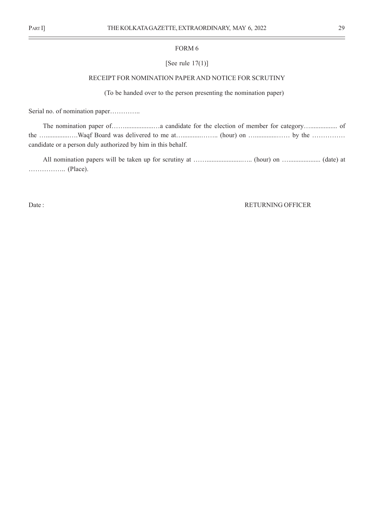# [See rule 17(1)]

#### RECEIPT FOR NOMINATION PAPER AND NOTICE FOR SCRUTINY

(To be handed over to the person presenting the nomination paper)

Serial no. of nomination paper...............

The nomination paper of…….................…a candidate for the election of member for category…................ of the …………………Waqf Board was delivered to me at…………………… (hour) on …………………… by the …………… candidate or a person duly authorized by him in this behalf.

All nomination papers will be taken up for scrutiny at …….....................….. (hour) on …................... (date) at …………….. (Place).

#### Date : RETURNING OFFICER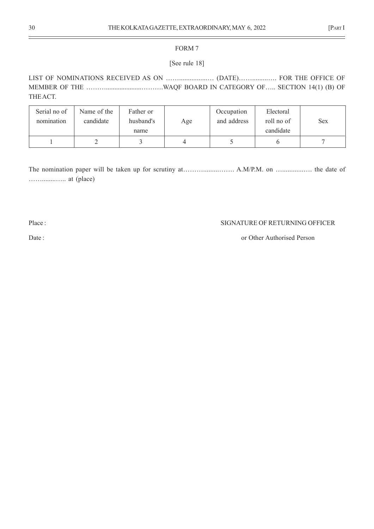### [See rule 18]

LIST OF NOMINATIONS RECEIVED AS ON ……................… (DATE)…….........…. FOR THE OFFICE OF MEMBER OF THE ……….....................……….WAQF BOARD IN CATEGORY OF….. SECTION 14(1) (B) OF THE ACT.

| Serial no of<br>nomination | Name of the<br>candidate | Father or<br>husband's<br>name | Age | Occupation<br>and address | Electoral<br>roll no of<br>candidate | <b>Sex</b> |
|----------------------------|--------------------------|--------------------------------|-----|---------------------------|--------------------------------------|------------|
|                            |                          |                                |     |                           |                                      |            |

The nomination paper will be taken up for scrutiny at………………………… A.M/P.M. on ………………… the date of ……........….. at (place)

#### Place : SIGNATURE OF RETURNING OFFICER

## Date : or Other Authorised Person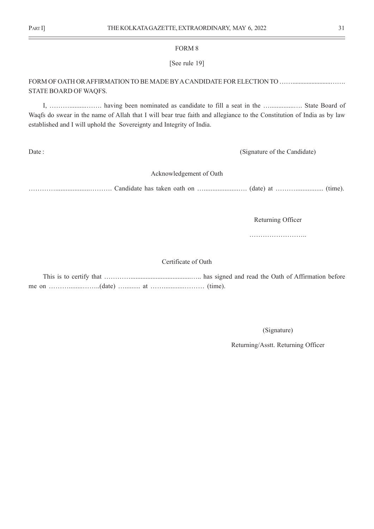#### [See rule 19]

# FORM OF OATH OR AFFIRMATION TO BE MADE BY A CANDIDATE FOR ELECTION TO ……........................……. STATE BOARD OF WAQFS.

I, ………..........……. having been nominated as candidate to fill a seat in the …..............…. State Board of Waqfs do swear in the name of Allah that I will bear true faith and allegiance to the Constitution of India as by law established and I will uphold the Sovereignty and Integrity of India.

Date : (Signature of the Candidate)

#### Acknowledgement of Oath

…………....................………. Candidate has taken oath on …....................…. (date) at ………................ (time).

Returning Officer

……………………..

Certificate of Oath

(Signature)

Returning/Asstt. Returning Officer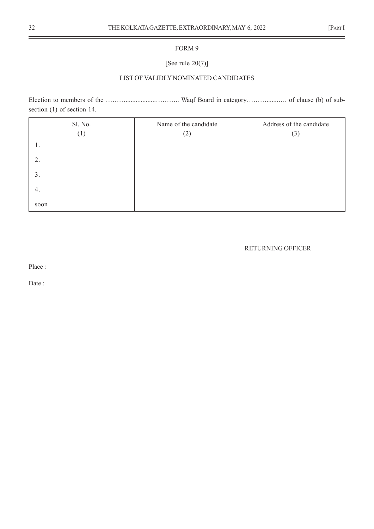# [See rule 20(7)]

#### LIST OF VALIDLY NOMINATED CANDIDATES

Election to members of the ……………………………………… Waqf Board in category…………………… of clause (b) of subsection (1) of section 14.

| Sl. No.<br>(1) | Name of the candidate<br>(2) | Address of the candidate<br>(3) |
|----------------|------------------------------|---------------------------------|
| ı.             |                              |                                 |
| 2.             |                              |                                 |
| 3.             |                              |                                 |
| 4.             |                              |                                 |
| soon           |                              |                                 |

#### RETURNING OFFICER

Place :

Date :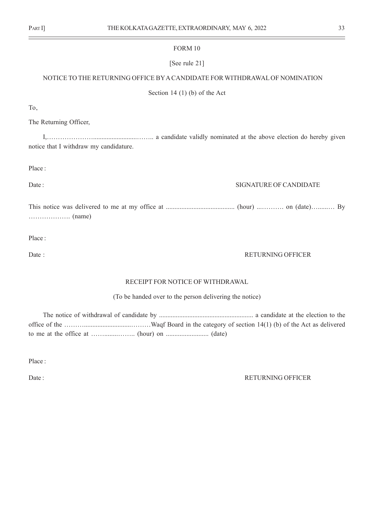#### [See rule 21]

#### NOTICE TO THE RETURNING OFFICE BY A CANDIDATE FOR WITHDRAWAL OF NOMINATION

Section 14 (1) (b) of the Act

To,

The Returning Officer,

I,…………………..........................…….. a candidate validly nominated at the above election do hereby given notice that I withdraw my candidature.

Place :

#### Date : SIGNATURE OF CANDIDATE

This notice was delivered to me at my office at ........................................ (hour) ...………. on (date)…......… By ………………. (name)

Place :

#### Date : RETURNING OFFICER

#### RECEIPT FOR NOTICE OF WITHDRAWAL

(To be handed over to the person delivering the notice)

The notice of withdrawal of candidate by ........................................................ a candidate at the election to the office of the ………............................………Waqf Board in the category of section 14(1) (b) of the Act as delivered to me at the office at ……........…….. (hour) on ......................... (date)

Place :

#### Date : RETURNING OFFICER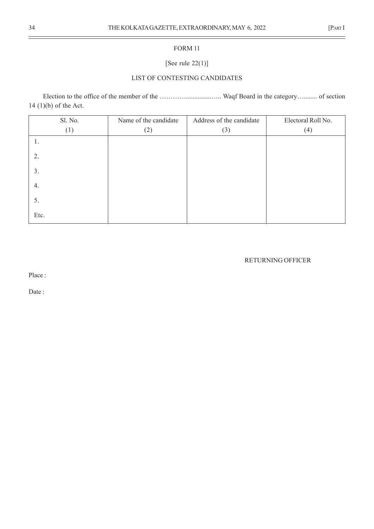# [See rule 22(1)]

#### LIST OF CONTESTING CANDIDATES

Election to the office of the member of the ……………………………………… Waqf Board in the category………… of section 14 (1)(b) of the Act.

| Sl. No. | Name of the candidate | Address of the candidate | Electoral Roll No. |
|---------|-----------------------|--------------------------|--------------------|
| (1)     | (2)                   | (3)                      | (4)                |
| 1.      |                       |                          |                    |
| 2.      |                       |                          |                    |
| 3.      |                       |                          |                    |
| 4.      |                       |                          |                    |
| 5.      |                       |                          |                    |
| Etc.    |                       |                          |                    |

## RETURNING OFFICER

Place :

Date :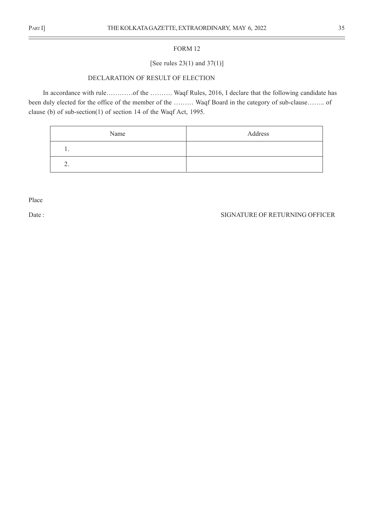### [See rules 23(1) and 37(1)]

#### DECLARATION OF RESULT OF ELECTION

In accordance with rule…………of the ………. Waqf Rules, 2016, I declare that the following candidate has been duly elected for the office of the member of the ……… Waqf Board in the category of sub-clause…….. of clause (b) of sub-section(1) of section 14 of the Waqf Act, 1995.

| Name     | Address |
|----------|---------|
| . .      |         |
| <u>.</u> |         |

Place

#### Date : SIGNATURE OF RETURNING OFFICER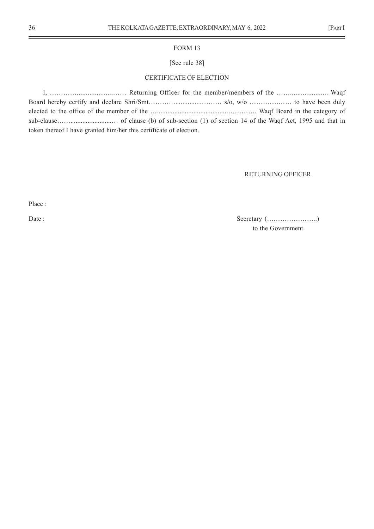#### [See rule 38]

#### CERTIFICATE OF ELECTION

I, …………....................…… Returning Officer for the member/members of the ……..................... Waqf Board hereby certify and declare Shri/Smt…………...............……… s/o, w/o ……….....…… to have been duly elected to the office of the member of the ….........................................…………. Waqf Board in the category of sub-clause……........................… of clause (b) of sub-section (1) of section 14 of the Waqf Act, 1995 and that in token thereof I have granted him/her this certificate of election.

#### RETURNING OFFICER

Place :

Date : Secretary (…………………..) to the Government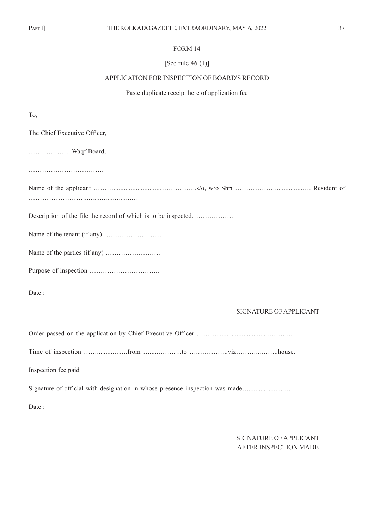#### [See rule 46 (1)]

#### APPLICATION FOR INSPECTION OF BOARD'S RECORD

Paste duplicate receipt here of application fee

To,

The Chief Executive Officer, ………………. Waqf Board, ……………………………. Name of the applicant ………...........................……………..s/o, w/o Shri ………………................…. Resident of ……………………............................. Description of the file the record of which is to be inspected………………. Name of the tenant (if any)……………………… Name of the parties (if any) ……………………. Purpose of inspection ………………………….. Date: SIGNATURE OF APPLICANT Order passed on the application by Chief Executive Officer ………..............................………... Time of inspection …….........…….from ….....………..to ….…………..viz………...……..house. Inspection fee paid

Signature of official with designation in whose presence inspection was made….......................

Date:

SIGNATURE OF APPLICANT AFTER INSPECTION MADE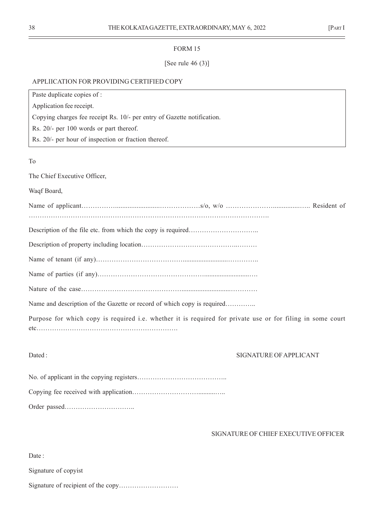#### [See rule  $46(3)$ ]

#### APPLIICATION FOR PROVIDING CERTIFIED COPY

| Paste duplicate copies of :                                             |
|-------------------------------------------------------------------------|
| Application fee receipt.                                                |
| Copying charges fee receipt Rs. 10/- per entry of Gazette notification. |
| Rs. 20/- per 100 words or part thereof.                                 |
| Rs. 20/- per hour of inspection or fraction thereof.                    |
|                                                                         |
| To                                                                      |
| The Chief Executive Officer,                                            |
| Waqf Board,                                                             |
|                                                                         |

……………………………………………………………………………………………….

Description of the file etc. from which the copy is required………………………………………………………

Name of parties (if any)…………………………………………..........................….

Nature of the case………………………………………............................…………

Name and description of the Gazette or record of which copy is required…………..

Purpose for which copy is required i.e. whether it is required for private use or for filing in some court etc……………………………………………………….

Dated : SIGNATURE OF APPLICANT

No. of applicant in the copying registers………………………………….. Copying fee received with application…………………………..........….. Order passed…………………………..

#### SIGNATURE OF CHIEF EXECUTIVE OFFICER

Date:

Signature of copyist

Signature of recipient of the copy………………………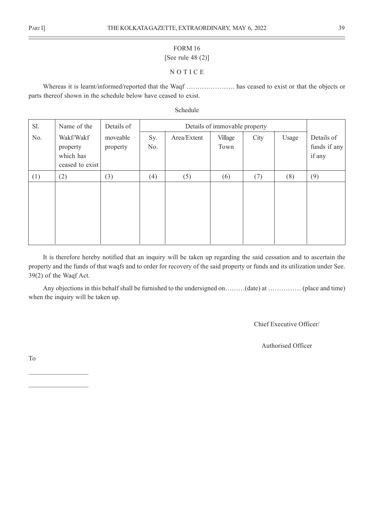# [See rule 48 (2)]

#### N O T I C E

Whereas it is learnt/informed/reported that the Waqf …………………. has ceased to exist or that the objects or parts thereof shown in the schedule below have ceased to exist.

Schedule

| Sl. | Name of the                                           | Details of           |            | Details of immovable property |                 |      |       |                                      |
|-----|-------------------------------------------------------|----------------------|------------|-------------------------------|-----------------|------|-------|--------------------------------------|
| No. | Wakf/Wakf<br>property<br>which has<br>ceased to exist | moveable<br>property | Sy.<br>No. | Area/Extent                   | Village<br>Town | City | Usage | Details of<br>funds if any<br>if any |
| (1) | (2)                                                   | (3)                  | (4)        | (5)                           | (6)             | (7)  | (8)   | (9)                                  |
|     |                                                       |                      |            |                               |                 |      |       |                                      |

It is therefore hereby notified that an inquiry will be taken up regarding the said cessation and to ascertain the property and the funds of that waqfs and to order for recovery of the said property or funds and its utilization under See. 39(2) of the Waqf Act.

Any objections in this behalf shall be furnished to the undersigned on………(date) at …………… (place and time) when the inquiry will be taken up.

Chief Executive Officer/

Authorised Officer

To

 $\mathcal{L}_\text{max}$ 

 $\mathcal{L}_\text{max}$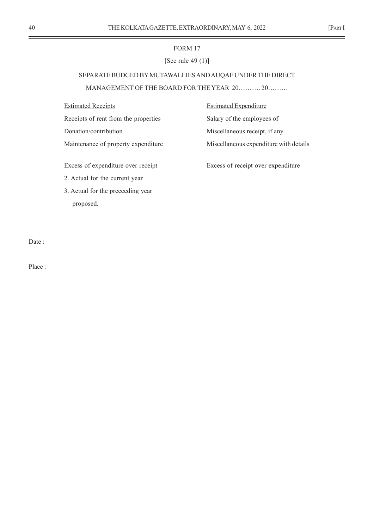#### [See rule 49 (1)]

# SEPARATE BUDGED BY MUTAWALLIES AND AUQAF UNDER THE DIRECT MANAGEMENT OF THE BOARD FOR THE YEAR 20………. 20………

Receipts of rent from the properties Salary of the employees of

Estimated Receipts **Estimated Expenditure** Donation/contribution Miscellaneous receipt, if any Maintenance of property expenditure Miscellaneous expenditure with details

Excess of expenditure over receipt Excess of receipt over expenditure

2. Actual for the current year

3. Actual for the preceeding year proposed.

Date:

Place :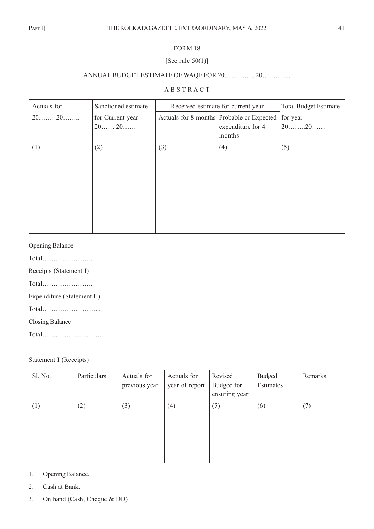# [See rule  $50(1)$ ]

# ANNUAL BUDGET ESTIMATE OF WAQF FOR 20………….. 20………….

# A B S T R A C T

| Actuals for | Sanctioned estimate | Received estimate for current year | <b>Total Budget Estimate</b>                          |         |
|-------------|---------------------|------------------------------------|-------------------------------------------------------|---------|
|             | for Current year    |                                    | Actuals for 8 months Probable or Expected<br>for year |         |
|             | $20$ $20$           |                                    | expenditure for 4                                     | $20$ 20 |
|             |                     |                                    | months                                                |         |
| (1)         | (2)                 | (3)                                | (4)                                                   | (5)     |
|             |                     |                                    |                                                       |         |
|             |                     |                                    |                                                       |         |
|             |                     |                                    |                                                       |         |
|             |                     |                                    |                                                       |         |
|             |                     |                                    |                                                       |         |
|             |                     |                                    |                                                       |         |
|             |                     |                                    |                                                       |         |
|             |                     |                                    |                                                       |         |

## Opening Balance

Total…………………..

Receipts (Statement I)

Total…………………..

Expenditure (Statement II)

Total……………………...

Closing Balance

Total……………………….

#### Statement I (Receipts)

| Sl. No. | Particulars | Actuals for<br>previous year | Actuals for<br>year of report | Revised<br>Budged for<br>ensuring year | Budged<br>Estimates | Remarks |
|---------|-------------|------------------------------|-------------------------------|----------------------------------------|---------------------|---------|
| (1)     | (2)         | (3)                          | (4)                           | (5)                                    | (6)                 | (7)     |
|         |             |                              |                               |                                        |                     |         |
|         |             |                              |                               |                                        |                     |         |
|         |             |                              |                               |                                        |                     |         |
|         |             |                              |                               |                                        |                     |         |

- 1. Opening Balance.
- 2. Cash at Bank.
- 3. On hand (Cash, Cheque & DD)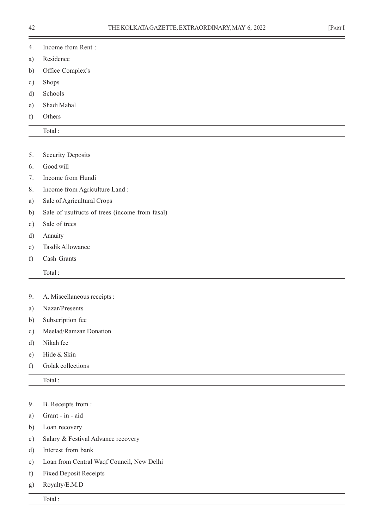- a) Residence
- b) Office Complex's
- c) Shops
- d) Schools
- e) Shadi Mahal
- f) Others

- 5. Security Deposits
- 6. Good will
- 7. Income from Hundi
- 8. Income from Agriculture Land :
- a) Sale of Agricultural Crops
- b) Sale of usufructs of trees (income from fasal)
- c) Sale of trees
- d) Annuity
- e) Tasdik Allowance
- f) Cash Grants
- Total :
- 9. A. Miscellaneous receipts :
- a) Nazar/Presents
- b) Subscription fee
- c) Meelad/Ramzan Donation
- d) Nikah fee
- e) Hide & Skin
- f) Golak collections

Total :

#### 9. B. Receipts from :

- a) Grant in aid
- b) Loan recovery
- c) Salary & Festival Advance recovery
- d) Interest from bank
- e) Loan from Central Waqf Council, New Delhi
- f) Fixed Deposit Receipts
- g) Royalty/E.M.D

Total :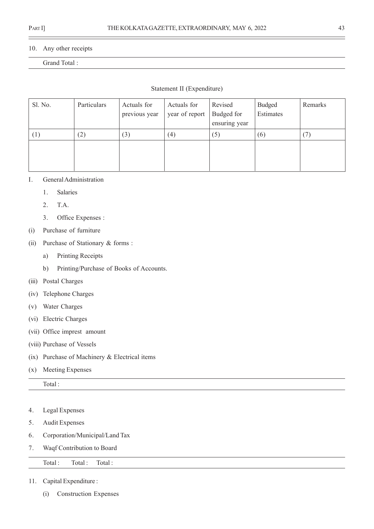#### 10. Any other receipts

# Grand Total :

#### Statement II (Expenditure)

| Sl. No. | Particulars | Actuals for<br>previous year | Actuals for<br>year of report | Revised<br>Budged for<br>ensuring year | <b>Budged</b><br>Estimates | Remarks |
|---------|-------------|------------------------------|-------------------------------|----------------------------------------|----------------------------|---------|
|         | (2)         | (3)                          | (4)                           | (5)                                    | (6)                        | (7)     |
|         |             |                              |                               |                                        |                            |         |

#### I. General Administration

- 1. Salaries
- 2. T.A.
- 3. Office Expenses :
- (i) Purchase of furniture
- (ii) Purchase of Stationary & forms :
	- a) Printing Receipts
	- b) Printing/Purchase of Books of Accounts.
- (iii) Postal Charges
- (iv) Telephone Charges
- (v) Water Charges
- (vi) Electric Charges
- (vii) Office imprest amount
- (viii) Purchase of Vessels
- (ix) Purchase of Machinery & Electrical items
- (x) Meeting Expenses

Total :

- 4. Legal Expenses
- 5. Audit Expenses
- 6. Corporation/Municipal/Land Tax
- 7. Waqf Contribution to Board

#### Total : Total : Total :

- 11. Capital Expenditure :
	- (i) Construction Expenses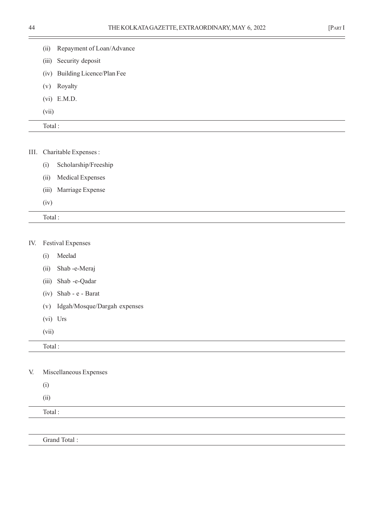۰

|  |  | ,我们也不会有什么?""我们的人,我们也不会有什么?""我们的人,我们也不会有什么?""我们的人,我们也不会有什么?""我们的人,我们也不会有什么?""我们的人 |
|--|--|----------------------------------------------------------------------------------|
|  |  |                                                                                  |
|  |  |                                                                                  |
|  |  |                                                                                  |
|  |  |                                                                                  |
|  |  |                                                                                  |
|  |  |                                                                                  |
|  |  |                                                                                  |
|  |  |                                                                                  |

- (iii) Security deposit
- (iv) Building Licence/Plan Fee

(ii) Repayment of Loan/Advance

- (v) Royalty
- (vi) E.M.D.
- (vii)

|--|

|  | III. Charitable Expenses : |
|--|----------------------------|
|--|----------------------------|

- (i) Scholarship/Freeship
- (ii) Medical Expenses
- (iii) Marriage Expense
- (iv)

Total :

#### IV. Festival Expenses

- (i) Meelad
- (ii) Shab -e-Meraj
- (iii) Shab -e-Qadar
- (iv) Shab e Barat
- (v) Idgah/Mosque/Dargah expenses
- (vi) Urs
- (vii)

| Total:                                                                                                  |
|---------------------------------------------------------------------------------------------------------|
|                                                                                                         |
| $\mathbf{V}$ $\mathbf{V}$ $\mathbf{V}$ $\mathbf{V}$ $\mathbf{V}$ $\mathbf{V}$ $\mathbf{V}$ $\mathbf{V}$ |

V. Miscellaneous Expenses

(i)

(ii)

Total :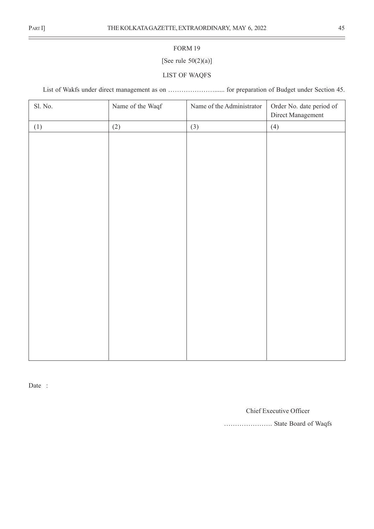# ÷

#### FORM 19

# [See rule  $50(2)(a)$ ]

# LIST OF WAQFS

List of Wakfs under direct management as on …………………...... for preparation of Budget under Section 45.

| Sl. No. | Name of the Waqf | Name of the Administrator | Order No. date period of<br>Direct Management |
|---------|------------------|---------------------------|-----------------------------------------------|
| (1)     | (2)              | (3)                       | (4)                                           |
|         |                  |                           |                                               |
|         |                  |                           |                                               |
|         |                  |                           |                                               |
|         |                  |                           |                                               |
|         |                  |                           |                                               |
|         |                  |                           |                                               |
|         |                  |                           |                                               |
|         |                  |                           |                                               |
|         |                  |                           |                                               |
|         |                  |                           |                                               |
|         |                  |                           |                                               |
|         |                  |                           |                                               |
|         |                  |                           |                                               |
|         |                  |                           |                                               |
|         |                  |                           |                                               |
|         |                  |                           |                                               |
|         |                  |                           |                                               |
|         |                  |                           |                                               |

Date :

Chief Executive Officer

…………………. State Board of Waqfs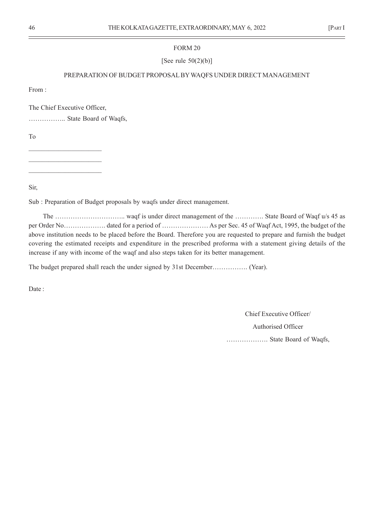[See rule  $50(2)(b)$ ]

#### PREPARATION OF BUDGET PROPOSAL BY WAQFS UNDER DIRECT MANAGEMENT

From :

The Chief Executive Officer,

…………….. State Board of Waqfs,

To

 $\mathcal{L}_\text{max}$  $\mathcal{L}_\text{max}$ 

 $\mathcal{L}_\text{max}$ 

Sir,

Sub : Preparation of Budget proposals by waqfs under direct management.

The ………………………….. waqf is under direct management of the …………. State Board of Waqf u/s 45 as per Order No………………. dated for a period of ………………… As per Sec. 45 of Waqf Act, 1995, the budget of the above institution needs to be placed before the Board. Therefore you are requested to prepare and furnish the budget covering the estimated receipts and expenditure in the prescribed proforma with a statement giving details of the increase if any with income of the waqf and also steps taken for its better management.

The budget prepared shall reach the under signed by 31st December……………. (Year).

Date :

Chief Executive Officer/ Authorised Officer ………………. State Board of Waqfs,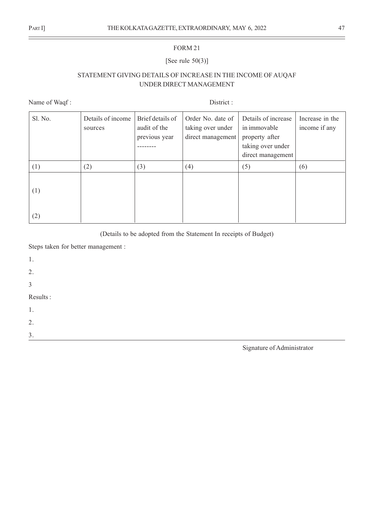# [See rule 50(3)]

# STATEMENT GIVING DETAILS OF INCREASE IN THE INCOME OF AUQAF UNDER DIRECT MANAGEMENT

Name of Waqf : District :

| Sl. No. | Details of income<br>sources | Brief details of<br>audit of the<br>previous year | Order No. date of<br>taking over under<br>direct management | Details of increase<br>in immovable<br>property after<br>taking over under<br>direct management | Increase in the<br>income if any |
|---------|------------------------------|---------------------------------------------------|-------------------------------------------------------------|-------------------------------------------------------------------------------------------------|----------------------------------|
| (1)     | (2)                          | (3)                                               | (4)                                                         | (5)                                                                                             | (6)                              |
| (1)     |                              |                                                   |                                                             |                                                                                                 |                                  |
| (2)     |                              |                                                   |                                                             |                                                                                                 |                                  |

(Details to be adopted from the Statement In receipts of Budget)

Steps taken for better management :

1. 2. 3 Results : 1. 2. 3.

Signature of Administrator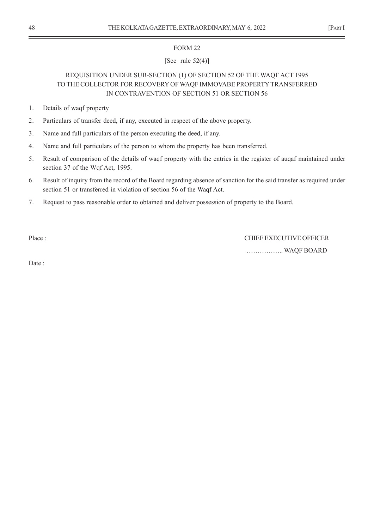# [See rule  $52(4)$ ]

# REQUISITION UNDER SUB-SECTION (1) OF SECTION 52 OF THE WAQF ACT 1995 TO THE COLLECTOR FOR RECOVERY OF WAQF IMMOVABE PROPERTY TRANSFERRED IN CONTRAVENTION OF SECTION 51 OR SECTION 56

- 1. Details of waqf property
- 2. Particulars of transfer deed, if any, executed in respect of the above property.
- 3. Name and full particulars of the person executing the deed, if any.
- 4. Name and full particulars of the person to whom the property has been transferred.
- 5. Result of comparison of the details of waqf property with the entries in the register of auqaf maintained under section 37 of the Wqf Act, 1995.
- 6. Result of inquiry from the record of the Board regarding absence of sanction for the said transfer as required under section 51 or transferred in violation of section 56 of the Waqf Act.
- 7. Request to pass reasonable order to obtained and deliver possession of property to the Board.

Place : CHIEF EXECUTIVE OFFICER …………….. WAQF BOARD

Date :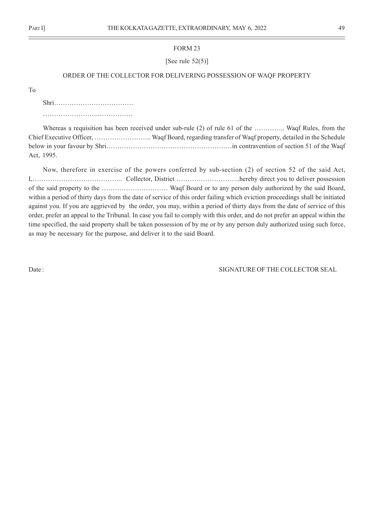[See rule  $52(5)$ ]

#### ORDER OF THE COLLECTOR FOR DELIVERING POSSESSION OF WAQF PROPERTY

To

Shri……………………………… ……………………..……………

Whereas a requisition has been received under sub-rule (2) of rule 61 of the …………. Waqf Rules, from the Chief Executive Officer, …………………….. Waqf Board, regarding transfer of Waqf property, detailed in the Schedule below in your favour by Shri…………………………………………………in contravention of section 51 of the Waqf Act, 1995.

Now, therefore in exercise of the powers conferred by sub-section (2) of section 52 of the said Act, I,………………………………….. Collector, District ………………………..hereby direct you to deliver possession of the said property to the ………………………… Waqf Board or to any person duly authorized by the said Board, within a period of thirty days from the date of service of this order failing which eviction proceedings shall be initiated against you. If you are aggrieved by the order, you may, within a period of thirty days from the date of service of this order, prefer an appeal to the Tribunal. In case you fail to comply with this order, and do not prefer an appeal within the time specified, the said property shall be taken possession of by me or by any person duly authorized using such force, as may be necessary for the purpose, and deliver it to the said Board.

Date : SIGNATURE OF THE COLLECTOR SEAL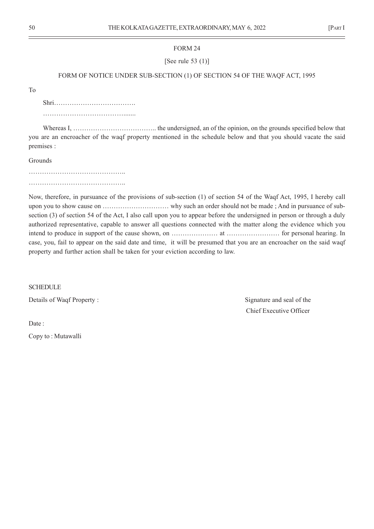[See rule 53 (1)]

#### FORM OF NOTICE UNDER SUB-SECTION (1) OF SECTION 54 OF THE WAQF ACT, 1995

To

Shri………………………………. ……………………………….......

Whereas I, ……………………………….. the undersigned, an of the opinion, on the grounds specified below that you are an encroacher of the waqf property mentioned in the schedule below and that you should vacate the said premises :

Grounds

Now, therefore, in pursuance of the provisions of sub-section (1) of section 54 of the Waqf Act, 1995, I hereby call upon you to show cause on ………………………… why such an order should not be made ; And in pursuance of subsection (3) of section 54 of the Act, I also call upon you to appear before the undersigned in person or through a duly authorized representative, capable to answer all questions connected with the matter along the evidence which you intend to produce in support of the cause shown, on ………………… at …………………… for personal hearing. In case, you, fail to appear on the said date and time, it will be presumed that you are an encroacher on the said waqf property and further action shall be taken for your eviction according to law.

**SCHEDULE** 

Details of Waqf Property : Signature and seal of the

Chief Executive Officer

Date:

Copy to : Mutawalli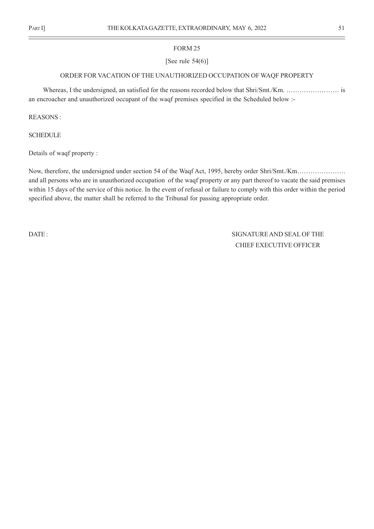#### [See rule  $54(6)$ ]

#### ORDER FOR VACATION OF THE UNAUTHORIZED OCCUPATION OF WAQF PROPERTY

Whereas, I the undersigned, an satisfied for the reasons recorded below that Shri/Smt./Km. …………………… is an encroacher and unauthorized occupant of the waqf premises specified in the Scheduled below :-

REASONS :

**SCHEDULE** 

Details of waqf property :

Now, therefore, the undersigned under section 54 of the Waqf Act, 1995, hereby order Shri/Smt./Km…………………. and all persons who are in unauthorized occupation of the waqf property or any part thereof to vacate the said premises within 15 days of the service of this notice. In the event of refusal or failure to comply with this order within the period specified above, the matter shall be referred to the Tribunal for passing appropriate order.

DATE : SIGNATURE AND SEAL OF THE CHIEF EXECUTIVE OFFICER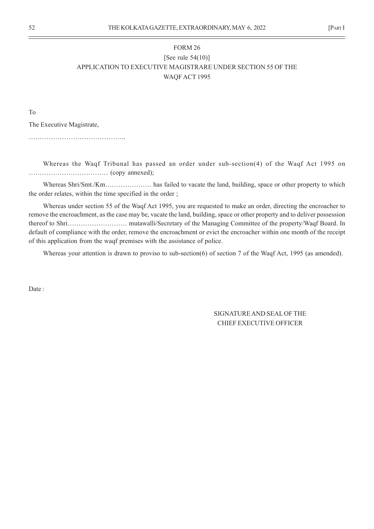# FORM 26 [See rule 54(10)] APPLICATION TO EXECUTIVE MAGISTRARE UNDER SECTION 55 OF THE WAQF ACT 1995

To

The Executive Magistrate,

……………………………………..

Whereas the Waqf Tribunal has passed an order under sub-section(4) of the Waqf Act 1995 on ……………………………… (copy annexed);

Whereas Shri/Smt./Km………………… has failed to vacate the land, building, space or other property to which the order relates, within the time specified in the order ;

Whereas under section 55 of the Waqf Act 1995, you are requested to make an order, directing the encroacher to remove the encroachment, as the case may be, vacate the land, building, space or other property and to deliver possession thereof to Shri……………………… mutawalli/Secretary of the Managing Committee of the property/Waqf Board. In default of compliance with the order, remove the encroachment or evict the encroacher within one month of the receipt of this application from the waqf premises with the assistance of police.

Whereas your attention is drawn to proviso to sub-section(6) of section 7 of the Waqf Act, 1995 (as amended).

Date:

SIGNATURE AND SEAL OF THE CHIEF EXECUTIVE OFFICER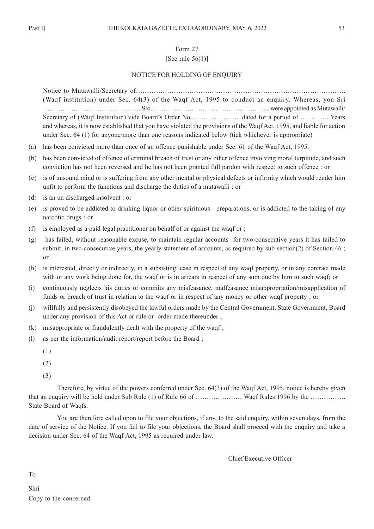# Form 27 [See rule  $56(1)$ ]

#### NOTICE FOR HOLDING OF ENOUIRY

Notice to Mutawalli/Secretary of…………………………………………………………………………………. (Waqf institution) under Sec. 64(3) of the Waqf Act, 1995 to conduct an enquiry. Whereas, you Sri ……………………………………… S/o………………………………………………. were appointed as Mutawalli/ Secretary of (Waqf Institution) vide Board's Order No………………….. dated for a period of …………. Years and whereas, it is now established that you have violated the provisions of the Waqf Act, 1995, and liable for action under Sec. 64 (1) for anyone/more than one reasons indicated below (tick whichever is appropriate)

- (a) has been convicted more than once of an offence punishable under Sec. 61 of the Waqf Act, 1995.
- (b) has been convicted of offence of criminal breach of trust or any other offence involving moral turpitude, and such conviction has not been reversed and he has not been granted full pardon with respect to such offence : or
- (c) is of unsound mind or is suffering from any other mental or physical defects or infirmity which would render him unfit to perform the functions and discharge the duties of a mutawalli : or
- (d) is an un discharged insolvent : or
- (e) is proved to be addicted to drinking liquor or other spirituous preparations, or is addicted to the taking of any narcotic drugs : or
- (f) is employed as a paid legal practitioner on behalf of or against the waqf or ;
- (g) has failed, without reasonable excuse, to maintain regular accounts for two consecutive years it has failed to submit, in two consecutive years, the yearly statement of accounts, as required by sub-section(2) of Section 46 ; or
- (h) is interested, directly or indirectly, in a subsisting lease in respect of any waqf property, or in any contract made with or any work being done for, the waqf or is in arrears in respect of any sum due by him to such waqf; or
- (i) continuously neglects his duties or commits any misfeasance, malfeasance misappropriation/misapplication of funds or breach of trust in relation to the waqf or in respect of any money or other waqf property ; or
- (j) willfully and persistently disobeyed the lawful orders made by the Central Government, State Government, Board under any provision of this Act or rule or order made thereunder ;
- (k) misappropriate or fraudulently dealt with the property of the waqf ;
- (l) as per the information/audit report/report before the Board ;
	- (1)
	- (2)
	- (3)

Therefore, by virtue of the powers conferred under Sec. 64(3) of the Waqf Act, 1995, notice is hereby given that an enquiry will be held under Sub Rule (1) of Rule 66 of ………………… Waqf Rules 1996 by the ……………. State Board of Waqfs.

You are therefore called upon to file your objections, if any, to the said enquiry, within seven days, from the date of service of the Notice. If you fail to file your objections, the Board shall proceed with the enquiry and take a decision under Sec. 64 of the Waqf Act, 1995 as required under law.

Chief Executive Officer

To

Shri Copy to the concerned.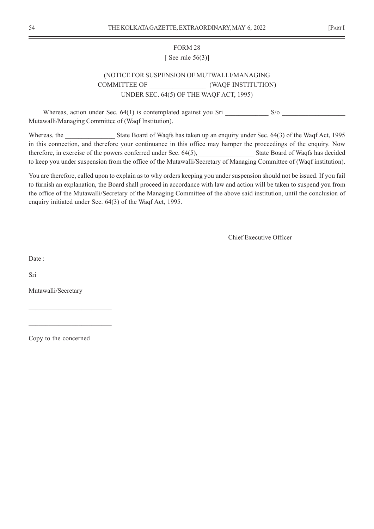# FORM 28 [ See rule  $56(3)$ ]

# (NOTICE FOR SUSPENSION OF MUTWALLI/MANAGING COMMITTEE OF  $(WAQF$  INSTITUTION) UNDER SEC. 64(5) OF THE WAQF ACT, 1995)

Whereas, action under Sec.  $64(1)$  is contemplated against you Sri  $S/\text{o}$ Mutawalli/Managing Committee of (Waqf Institution).

Whereas, the State Board of Waqfs has taken up an enquiry under Sec. 64(3) of the Waqf Act, 1995 in this connection, and therefore your continuance in this office may hamper the proceedings of the enquiry. Now therefore, in exercise of the powers conferred under Sec. 64(5), State Board of Waqfs has decided to keep you under suspension from the office of the Mutawalli/Secretary of Managing Committee of (Waqf institution).

You are therefore, called upon to explain as to why orders keeping you under suspension should not be issued. If you fail to furnish an explanation, the Board shall proceed in accordance with law and action will be taken to suspend you from the office of the Mutawalli/Secretary of the Managing Committee of the above said institution, until the conclusion of enquiry initiated under Sec. 64(3) of the Waqf Act, 1995.

Chief Executive Officer

Date:

Sri

Mutawalli/Secretary

Copy to the concerned

 $\mathcal{L}_\text{max}$ 

 $\overline{\phantom{a}}$  , where  $\overline{\phantom{a}}$  , where  $\overline{\phantom{a}}$  , where  $\overline{\phantom{a}}$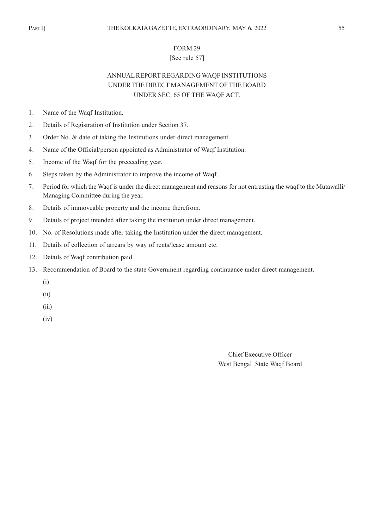## [See rule 57]

# ANNUAL REPORT REGARDING WAQF INSTITUTIONS UNDER THE DIRECT MANAGEMENT OF THE BOARD UNDER SEC. 65 OF THE WAQF ACT.

- 1. Name of the Waqf Institution.
- 2. Details of Registration of Institution under Section 37.
- 3. Order No. & date of taking the Institutions under direct management.
- 4. Name of the Official/person appointed as Administrator of Waqf Institution.
- 5. Income of the Waqf for the preceeding year.
- 6. Steps taken by the Administrator to improve the income of Waqf.
- 7. Period for which the Waqf is under the direct management and reasons for not entrusting the waqf to the Mutawalli/ Managing Committee during the year.
- 8. Details of immoveable property and the income therefrom.
- 9. Details of project intended after taking the institution under direct management.
- 10. No. of Resolutions made after taking the Institution under the direct management.
- 11. Details of collection of arrears by way of rents/lease amount etc.
- 12. Details of Waqf contribution paid.
- 13. Recommendation of Board to the state Government regarding continuance under direct management.
	- (i)
	- (ii)
	- (iii)
	- (iv)

Chief Executive Officer West Bengal State Waqf Board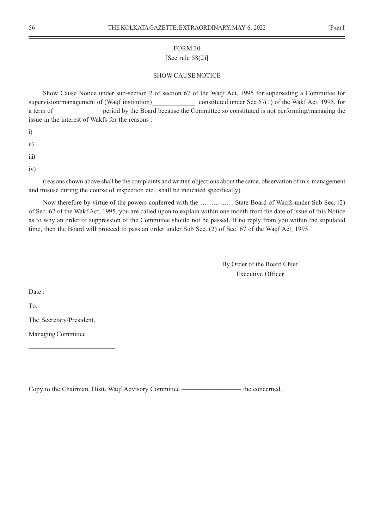# [See rule 58(2)]

#### SHOW CAUSE NOTICE

Show Cause Notice under sub-section 2 of section 67 of the Waqf Act, 1995 for superseding a Committee for supervision/management of (Waqf institution)\_\_\_\_\_\_\_\_\_\_\_\_\_\_\_\_ constituted under Sec 67(1) of the Wakf Act, 1995, for a term of **the period by the Board because the Committee so constituted is not performing/managing the** issue in the interest of Wakfs for the reasons :

i)

ii)

iii)

iv)

(reasons shown above shall be the complaints and written objections about the same, observation of mis-management and misuse during the course of inspection etc., shall be indicated specifically).

Now therefore by virtue of the powers conferred with the …………… State Board of Waqfs under Sub Sec. (2) of Sec. 67 of the Wakf Act, 1995, you are called upon to explain within one month from the date of issue of this Notice as to why an order of suppression of the Committee should not be passed. If no reply from you within the stipulated time, then the Board will proceed to pass an order under Sub Sec. (2) of Sec. 67 of the Waqf Act, 1995.

> By Order of the Board Chief Executive Officer

Date :

To,

The Secretary/President,

—————————————

—————————————

Managing Committee

Copy to the Chairman, Distt. Waqf Advisory Committee ————————— the concerned.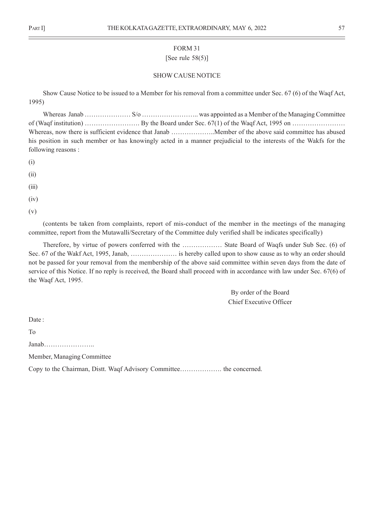# FORM 31 [See rule  $58(5)$ ]

#### SHOW CAUSE NOTICE

Show Cause Notice to be issued to a Member for his removal from a committee under Sec. 67 (6) of the Waqf Act, 1995)

Whereas Janab ………………… S/o …………………….. was appointed as a Member of the Managing Committee of (Waqf institution)  $\dots$   $\dots$   $\dots$   $\dots$   $B$ y the Board under Sec. 67(1) of the Waqf Act, 1995 on  $\dots$   $\dots$   $\dots$ Whereas, now there is sufficient evidence that Janab ………………..Member of the above said committee has abused his position in such member or has knowingly acted in a manner prejudicial to the interests of the Wakfs for the following reasons :

(i)

(ii)

(iii)

 $(iv)$ 

(v)

(contents be taken from complaints, report of mis-conduct of the member in the meetings of the managing committee, report from the Mutawalli/Secretary of the Committee duly verified shall be indicates specifically)

Therefore, by virtue of powers conferred with the ……………… State Board of Waqfs under Sub Sec. (6) of Sec. 67 of the Wakf Act, 1995, Janab, ………………… is hereby called upon to show cause as to why an order should not be passed for your removal from the membership of the above said committee within seven days from the date of service of this Notice. If no reply is received, the Board shall proceed with in accordance with law under Sec. 67(6) of the Waqf Act, 1995.

> By order of the Board Chief Executive Officer

Date:

To

Janab…………………..

Member, Managing Committee

Copy to the Chairman, Distt. Waqf Advisory Committee………………. the concerned.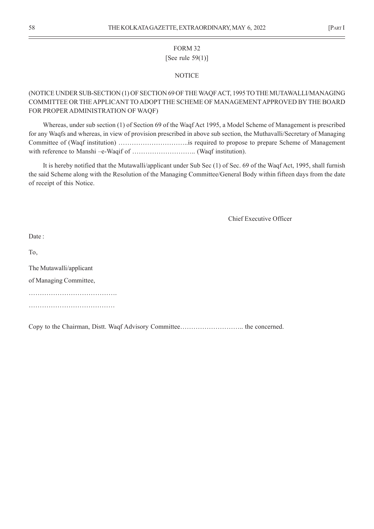# FORM 32 [See rule 59(1)]

#### **NOTICE**

# (NOTICE UNDER SUB-SECTION (1) OF SECTION 69 OF THE WAQF ACT, 1995 TO THE MUTAWALLI/MANAGING COMMITTEE OR THE APPLICANT TO ADOPT THE SCHEME OF MANAGEMENT APPROVED BY THE BOARD FOR PROPER ADMINISTRATION OF WAQF)

Whereas, under sub section (1) of Section 69 of the Waqf Act 1995, a Model Scheme of Management is prescribed for any Waqfs and whereas, in view of provision prescribed in above sub section, the Muthavalli/Secretary of Managing Committee of (Waqf institution) …………………………..is required to propose to prepare Scheme of Management with reference to Manshi –e-Waqif of ……………………….. (Waqf institution).

It is hereby notified that the Mutawalli/applicant under Sub Sec (1) of Sec. 69 of the Waqf Act, 1995, shall furnish the said Scheme along with the Resolution of the Managing Committee/General Body within fifteen days from the date of receipt of this Notice.

Chief Executive Officer

To,

The Mutawalli/applicant of Managing Committee, …………………………………. …………………………………………

Copy to the Chairman, Distt. Waqf Advisory Committee……………………….. the concerned.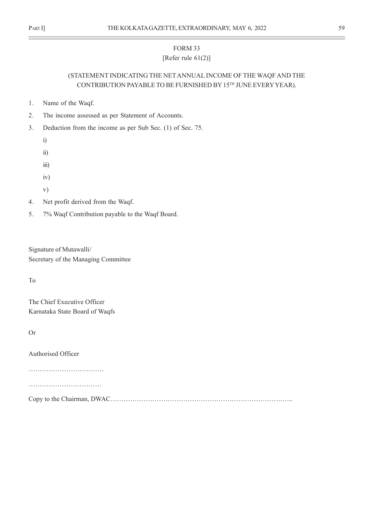# FORM 33 [Refer rule 61(2)]

# (STATEMENT INDICATING THE NET ANNUAL INCOME OF THE WAQF AND THE CONTRIBUTION PAYABLE TO BE FURNISHED BY 15TH JUNE EVERY YEAR).

- 1. Name of the Waqf.
- 2. The income assessed as per Statement of Accounts.
- 3. Deduction from the income as per Sub Sec. (1) of Sec. 75.
	- i)
	- ii)
	- iii)
	- iv)
	- v)
- 4. Net profit derived from the Waqf.
- 5. 7% Waqf Contribution payable to the Waqf Board.

Signature of Mutawalli/ Secretary of the Managing Committee

To

The Chief Executive Officer Karnataka State Board of Waqfs

Or

Authorised Officer

……………………………………………

………………………………………

Copy to the Chairman, DWAC………………………………………………………………………..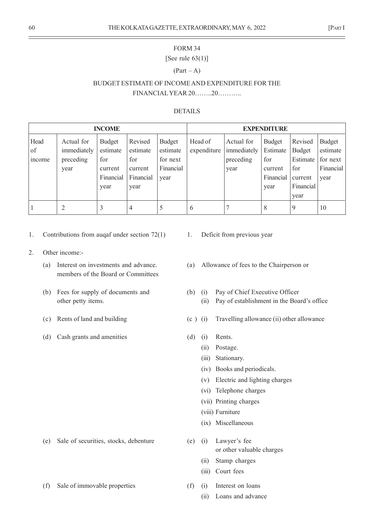# [See rule  $63(1)$ ]

#### $(Part - A)$

# BUDGET ESTIMATE OF INCOME AND EXPENDITURE FOR THE FINANCIAL YEAR 20……..20………..

#### DETAILS

|                             |                                                | <b>INCOME</b>                                             |                                                            |                                                            | <b>EXPENDITURE</b>     |                                                |                                                                  |                                                                      |                                                     |  |  |  |
|-----------------------------|------------------------------------------------|-----------------------------------------------------------|------------------------------------------------------------|------------------------------------------------------------|------------------------|------------------------------------------------|------------------------------------------------------------------|----------------------------------------------------------------------|-----------------------------------------------------|--|--|--|
| Head<br>of<br><i>n</i> come | Actual for<br>immediately<br>preceding<br>year | Budget<br>estimate<br>for<br>current<br>Financial<br>year | Revised<br>estimate<br>for<br>current<br>Financial<br>year | <b>Budget</b><br>estimate<br>for next<br>Financial<br>year | Head of<br>expenditure | Actual for<br>immediately<br>preceding<br>year | <b>Budget</b><br>Estimate<br>for<br>current<br>Financial<br>year | Revised<br>Budget<br>Estimate<br>for<br>current<br>Financial<br>year | Budget<br>estimate<br>for next<br>Financial<br>year |  |  |  |
|                             |                                                | 3                                                         | 4                                                          | 5                                                          | 6                      |                                                | 8                                                                | 9                                                                    | 10                                                  |  |  |  |

- 1. Contributions from auqaf under section 72(1) 1. Deficit from previous year
- 2. Other income:
	- members of the Board or Committees
	-
	-
	- (d) Cash grants and amenities (d) (i) Rents.

- (e) Sale of securities, stocks, debenture (e) (i) Lawyer's fee
- (f) Sale of immovable properties (f) (i) Interest on loans
- 
- (a) Interest on investments and advance. (a) Allowance of fees to the Chairperson or
- (b) Fees for supply of documents and (b) (i) Pay of Chief Executive Officer
	- other petty items. (ii) Pay of establishment in the Board's office
- (c) Rents of land and building (c ) (i) Travelling allowance (ii) other allowance
	- - (ii) Postage.
		- (iii) Stationary.
		- (iv) Books and periodicals.
		- (v) Electric and lighting charges
		- (vi) Telephone charges
		- (vii) Printing charges
		- (viii) Furniture
		- (ix) Miscellaneous
	- or other valuable charges
		- (ii) Stamp charges
		- (iii) Court fees
	- - (ii) Loans and advance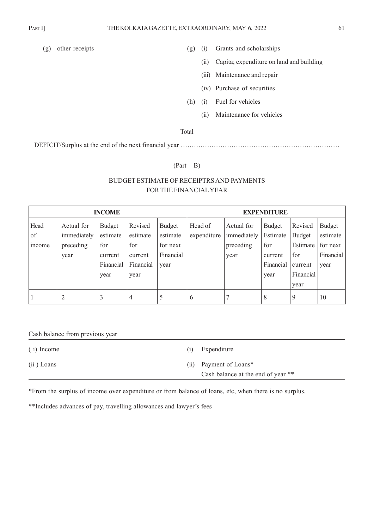- 
- (g) other receipts (g) (i) Grants and scholarships
	- (ii) Capita; expenditure on land and building
	- (iii) Maintenance and repair
	- (iv) Purchase of securities
	- (h) (i) Fuel for vehicles
		- (ii) Maintenance for vehicles

Total

DEFICIT/Surplus at the end of the next financial year ……………………………………………………………………

#### $(Part - B)$

# BUDGET ESTIMATE OF RECEIPTRS AND PAYMENTS FOR THE FINANCIAL YEAR

|                      |                                                | <b>INCOME</b>                                             |                                                            |                                                            | <b>EXPENDITURE</b>     |                                                |                                                           |                                                                             |                                                              |  |  |  |
|----------------------|------------------------------------------------|-----------------------------------------------------------|------------------------------------------------------------|------------------------------------------------------------|------------------------|------------------------------------------------|-----------------------------------------------------------|-----------------------------------------------------------------------------|--------------------------------------------------------------|--|--|--|
| Head<br>of<br>income | Actual for<br>immediately<br>preceding<br>year | Budget<br>estimate<br>for<br>current<br>Financial<br>year | Revised<br>estimate<br>for<br>current<br>Financial<br>year | <b>Budget</b><br>estimate<br>for next<br>Financial<br>year | Head of<br>expenditure | Actual for<br>immediately<br>preceding<br>year | Budget<br>Estimate<br>for<br>current<br>Financial<br>year | Revised<br><b>Budget</b><br>Estimate<br>for<br>current<br>Financial<br>year | <b>Budget</b><br>estimate<br>for next<br>Financial  <br>year |  |  |  |
|                      | 2                                              | 3                                                         | 4                                                          | 5                                                          | 6                      |                                                | 8                                                         | 9                                                                           | 10                                                           |  |  |  |

Cash balance from previous year

( i) Income (i) Expenditure

(ii) Loans (ii) Payment of Loans\* Cash balance at the end of year \*\*

\*From the surplus of income over expenditure or from balance of loans, etc, when there is no surplus.

\*\*Includes advances of pay, travelling allowances and lawyer's fees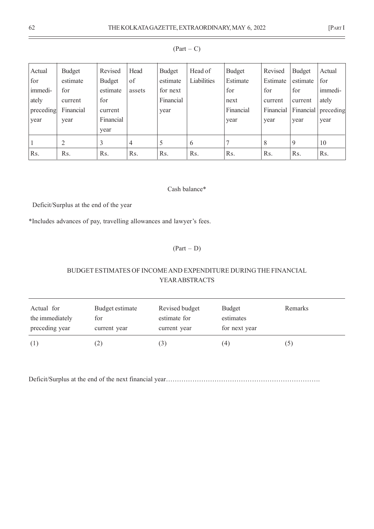| Actual<br>for | Budget<br>estimate | Revised<br><b>Budget</b> | Head<br>of | Budget<br>estimate | Head of<br>Liabilities | <b>Budget</b><br>Estimate | Revised<br>Estimate | <b>Budget</b><br>estimate | Actual<br>for |
|---------------|--------------------|--------------------------|------------|--------------------|------------------------|---------------------------|---------------------|---------------------------|---------------|
| immedi-       | for                | estimate                 | assets     | for next           |                        | for                       | for                 | for                       | immedi-       |
| ately         | current            | for                      |            | Financial          |                        | next                      | current             | current                   | ately         |
| preceding     | Financial          | current                  |            | year               |                        | Financial                 | Financial           | Financial                 | preceding     |
| year          | year               | Financial                |            |                    |                        | year                      | year                | year                      | year          |
|               |                    | year                     |            |                    |                        |                           |                     |                           |               |
|               | $\overline{2}$     | 3                        | 4          | C                  | 6                      | 7                         | 8                   | 9                         | 10            |
| Rs.           | R <sub>s</sub> .   | Rs.                      | Rs.        | R <sub>s</sub> .   | Rs.                    | Rs.                       | Rs.                 | Rs.                       | Rs.           |

## $(Part - C)$

### Cash balance\*

Deficit/Surplus at the end of the year

\*Includes advances of pay, travelling allowances and lawyer's fees.

(Part – D)

# BUDGET ESTIMATES OF INCOME AND EXPENDITURE DURING THE FINANCIAL YEAR ABSTRACTS

| Actual for      | Budget estimate     | Revised budget | Budget        | Remarks       |
|-----------------|---------------------|----------------|---------------|---------------|
| the immediately | for                 | estimate for   | estimates     |               |
| preceding year  | current year        | current year   | for next year |               |
| (1)             | $\lfloor 2 \rfloor$ |                | (4)           | $\mathcal{D}$ |

Deficit/Surplus at the end of the next financial year…………………………………………………………….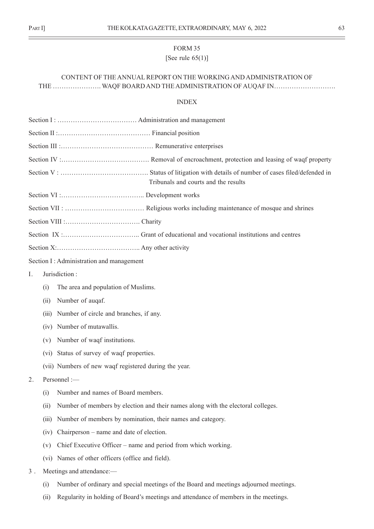# FORM 35 [See rule 65(1)]

# CONTENT OF THE ANNUAL REPORT ON THE WORKING AND ADMINISTRATION OF THE …………………. WAQF BOARD AND THE ADMINISTRATION OF AUQAF IN……………………….

#### INDEX

|       |       | Tribunals and courts and the results                                                  |
|-------|-------|---------------------------------------------------------------------------------------|
|       |       |                                                                                       |
|       |       |                                                                                       |
|       |       |                                                                                       |
|       |       |                                                                                       |
|       |       |                                                                                       |
|       |       | Section I: Administration and management                                              |
| Ι.    |       | Jurisdiction:                                                                         |
|       | (i)   | The area and population of Muslims.                                                   |
|       | (ii)  | Number of auqaf.                                                                      |
|       | (iii) | Number of circle and branches, if any.                                                |
|       |       | (iv) Number of mutawallis.                                                            |
|       | (v)   | Number of waqf institutions.                                                          |
|       |       | (vi) Status of survey of waqf properties.                                             |
|       |       | (vii) Numbers of new waqf registered during the year.                                 |
| 2.    |       | Personnel :-                                                                          |
|       | (i)   | Number and names of Board members.                                                    |
|       | (i)   | Number of members by election and their names along with the electoral colleges.      |
|       | (iii) | Number of members by nomination, their names and category.                            |
|       | (iv)  | Chairperson – name and date of election.                                              |
|       | (v)   | Chief Executive Officer – name and period from which working.                         |
|       |       | (vi) Names of other officers (office and field).                                      |
| $3$ . |       | Meetings and attendance:-                                                             |
|       | (i)   | Number of ordinary and special meetings of the Board and meetings adjourned meetings. |
|       | (ii)  | Regularity in holding of Board's meetings and attendance of members in the meetings.  |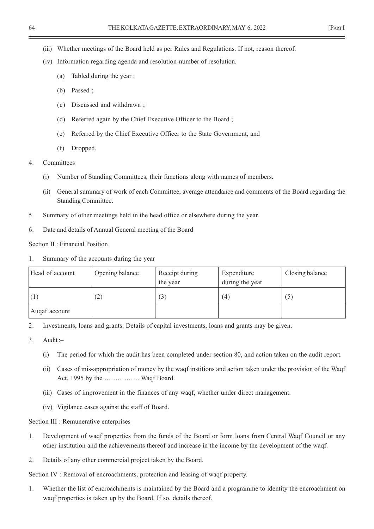- (iii) Whether meetings of the Board held as per Rules and Regulations. If not, reason thereof.
- (iv) Information regarding agenda and resolution-number of resolution.
	- (a) Tabled during the year ;
	- (b) Passed ;
	- (c) Discussed and withdrawn ;
	- (d) Referred again by the Chief Executive Officer to the Board ;
	- (e) Referred by the Chief Executive Officer to the State Government, and
	- (f) Dropped.
- 4. Committees
	- (i) Number of Standing Committees, their functions along with names of members.
	- (ii) General summary of work of each Committee, average attendance and comments of the Board regarding the Standing Committee.
- 5. Summary of other meetings held in the head office or elsewhere during the year.
- 6. Date and details of Annual General meeting of the Board

Section II : Financial Position

1. Summary of the accounts during the year

| Head of account | Opening balance | Receipt during<br>the year | Expenditure<br>during the year | Closing balance |
|-----------------|-----------------|----------------------------|--------------------------------|-----------------|
|                 | (2)             | (3)                        | (4)                            |                 |
| Augaf account   |                 |                            |                                |                 |

2. Investments, loans and grants: Details of capital investments, loans and grants may be given.

- 3. Audit :–
	- (i) The period for which the audit has been completed under section 80, and action taken on the audit report.
	- (ii) Cases of mis-appropriation of money by the waqf institions and action taken under the provision of the Waqf Act, 1995 by the ……………. Waqf Board.
	- (iii) Cases of improvement in the finances of any waqf, whether under direct management.
	- (iv) Vigilance cases against the staff of Board.

Section III : Remunerative enterprises

- 1. Development of waqf properties from the funds of the Board or form loans from Central Waqf Council or any other institution and the achievements thereof and increase in the income by the development of the waqf.
- 2. Details of any other commercial project taken by the Board.

Section IV : Removal of encroachments, protection and leasing of waqf property.

1. Whether the list of encroachments is maintained by the Board and a programme to identity the encroachment on waqf properties is taken up by the Board. If so, details thereof.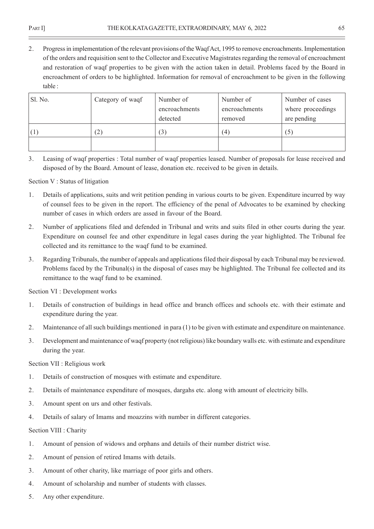2. Progress in implementation of the relevant provisions of the Waqf Act, 1995 to remove encroachments. Implementation of the orders and requisition sent to the Collector and Executive Magistrates regarding the removal of encroachment and restoration of waqf properties to be given with the action taken in detail. Problems faced by the Board in encroachment of orders to be highlighted. Information for removal of encroachment to be given in the following table :

| Sl. No. | Category of waqf | Number of<br>encroachments | Number of<br>encroachments | Number of cases<br>where proceedings |
|---------|------------------|----------------------------|----------------------------|--------------------------------------|
|         |                  | detected                   | removed                    | are pending                          |
|         | (2)              | ' ٹ                        | (4)                        | (5)                                  |
|         |                  |                            |                            |                                      |

3. Leasing of waqf properties : Total number of waqf properties leased. Number of proposals for lease received and disposed of by the Board. Amount of lease, donation etc. received to be given in details.

# Section V : Status of litigation

- 1. Details of applications, suits and writ petition pending in various courts to be given. Expenditure incurred by way of counsel fees to be given in the report. The efficiency of the penal of Advocates to be examined by checking number of cases in which orders are assed in favour of the Board.
- 2. Number of applications filed and defended in Tribunal and writs and suits filed in other courts during the year. Expenditure on counsel fee and other expenditure in legal cases during the year highlighted. The Tribunal fee collected and its remittance to the waqf fund to be examined.
- 3. Regarding Tribunals, the number of appeals and applications filed their disposal by each Tribunal may be reviewed. Problems faced by the Tribunal(s) in the disposal of cases may be highlighted. The Tribunal fee collected and its remittance to the waqf fund to be examined.

Section VI : Development works

- 1. Details of construction of buildings in head office and branch offices and schools etc. with their estimate and expenditure during the year.
- 2. Maintenance of all such buildings mentioned in para (1) to be given with estimate and expenditure on maintenance.
- 3. Development and maintenance of waqf property (not religious) like boundary walls etc. with estimate and expenditure during the year.

# Section VII : Religious work

- 1. Details of construction of mosques with estimate and expenditure.
- 2. Details of maintenance expenditure of mosques, dargahs etc. along with amount of electricity bills.
- 3. Amount spent on urs and other festivals.
- 4. Details of salary of Imams and moazzins with number in different categories.

# Section VIII : Charity

- 1. Amount of pension of widows and orphans and details of their number district wise.
- 2. Amount of pension of retired Imams with details.
- 3. Amount of other charity, like marriage of poor girls and others.
- 4. Amount of scholarship and number of students with classes.
- 5. Any other expenditure.